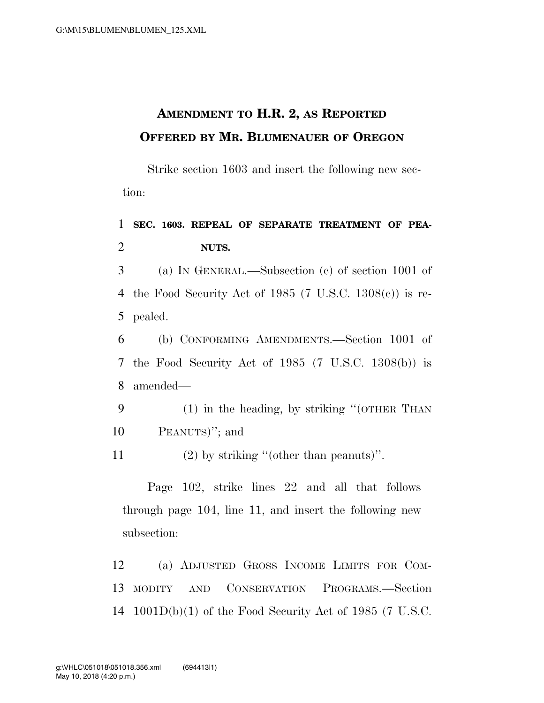## **AMENDMENT TO H.R. 2, AS REPORTED OFFERED BY MR. BLUMENAUER OF OREGON**

Strike section 1603 and insert the following new section:

1 **SEC. 1603. REPEAL OF SEPARATE TREATMENT OF PEA-**2 **NUTS.** 

3 (a) IN GENERAL.—Subsection (c) of section 1001 of 4 the Food Security Act of 1985 (7 U.S.C. 1308(c)) is re-5 pealed.

6 (b) CONFORMING AMENDMENTS.—Section 1001 of 7 the Food Security Act of 1985 (7 U.S.C. 1308(b)) is 8 amended—

9 (1) in the heading, by striking ''(OTHER THAN 10 PEANUTS)''; and

11 (2) by striking ''(other than peanuts)''.

Page 102, strike lines 22 and all that follows through page 104, line 11, and insert the following new subsection:

12 (a) ADJUSTED GROSS INCOME LIMITS FOR COM-13 MODITY AND CONSERVATION PROGRAMS.—Section 14 1001D(b)(1) of the Food Security Act of 1985 (7 U.S.C.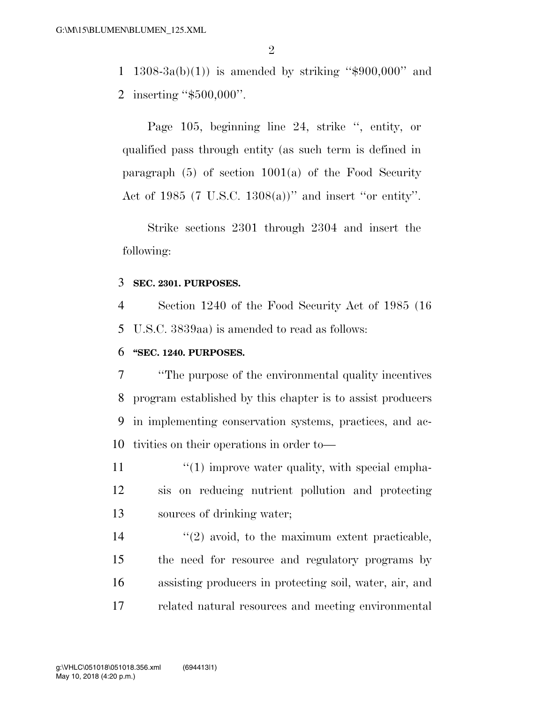1 1308-3a(b)(1)) is amended by striking " $$900,000$ " and 2 inserting ''\$500,000''.

Page 105, beginning line 24, strike '', entity, or qualified pass through entity (as such term is defined in paragraph  $(5)$  of section  $1001(a)$  of the Food Security Act of 1985 (7 U.S.C. 1308(a))'' and insert ''or entity''.

Strike sections 2301 through 2304 and insert the following:

#### 3 **SEC. 2301. PURPOSES.**

4 Section 1240 of the Food Security Act of 1985 (16 5 U.S.C. 3839aa) is amended to read as follows:

#### 6 **''SEC. 1240. PURPOSES.**

 ''The purpose of the environmental quality incentives program established by this chapter is to assist producers in implementing conservation systems, practices, and ac-tivities on their operations in order to—

11 ''(1) improve water quality, with special empha-12 sis on reducing nutrient pollution and protecting 13 sources of drinking water;

14 ''(2) avoid, to the maximum extent practicable, the need for resource and regulatory programs by assisting producers in protecting soil, water, air, and related natural resources and meeting environmental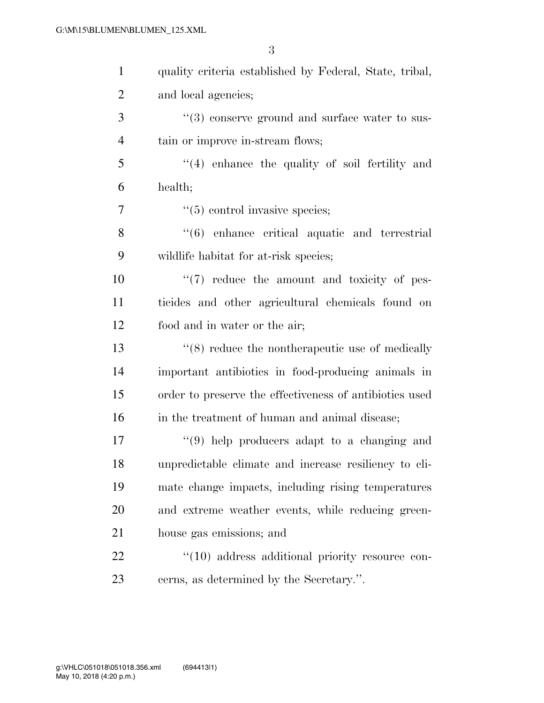| $\mathbf{1}$   | quality criteria established by Federal, State, tribal,    |
|----------------|------------------------------------------------------------|
| $\overline{2}$ | and local agencies;                                        |
| 3              | $\cdot\cdot$ (3) conserve ground and surface water to sus- |
| $\overline{4}$ | tain or improve in-stream flows;                           |
| 5              | "(4) enhance the quality of soil fertility and             |
| 6              | health;                                                    |
| $\overline{7}$ | $\cdot\cdot$ (5) control invasive species;                 |
| 8              | "(6) enhance critical aquatic and terrestrial              |
| 9              | wildlife habitat for at-risk species;                      |
| 10             | $\lq(7)$ reduce the amount and toxicity of pes-            |
| 11             | ticides and other agricultural chemicals found on          |
| 12             | food and in water or the air;                              |
| 13             | $\cdot$ (8) reduce the nontherapeutic use of medically     |
| 14             | important antibiotics in food-producing animals in         |
| 15             | order to preserve the effectiveness of antibiotics used    |
| 16             | in the treatment of human and animal disease;              |
| $17\,$         | $(9)$ help producers adapt to a changing and               |
| 18             | unpredictable climate and increase resiliency to cli-      |
| 19             | mate change impacts, including rising temperatures         |
| <b>20</b>      | and extreme weather events, while reducing green-          |
| 21             | house gas emissions; and                                   |
| 22             | $\lq(10)$ address additional priority resource con-        |
| 23             | cerns, as determined by the Secretary.".                   |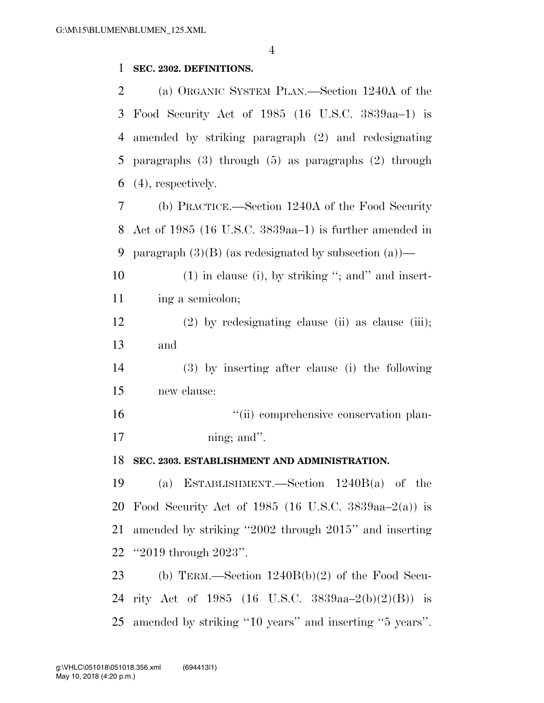#### **SEC. 2302. DEFINITIONS.**

 (a) ORGANIC SYSTEM PLAN.—Section 1240A of the Food Security Act of 1985 (16 U.S.C. 3839aa–1) is amended by striking paragraph (2) and redesignating paragraphs (3) through (5) as paragraphs (2) through (4), respectively.

 (b) PRACTICE.—Section 1240A of the Food Security Act of 1985 (16 U.S.C. 3839aa–1) is further amended in 9 paragraph  $(3)(B)$  (as redesignated by subsection  $(a)$ )—

10 (1) in clause (i), by striking "; and insert-11 ing a semicolon;

 (2) by redesignating clause (ii) as clause (iii); and

 (3) by inserting after clause (i) the following new clause:

16  $\frac{1}{\sin}$  comprehensive conservation plan-17 ning; and".

**SEC. 2303. ESTABLISHMENT AND ADMINISTRATION.** 

 (a) ESTABLISHMENT.—Section 1240B(a) of the Food Security Act of 1985 (16 U.S.C. 3839aa–2(a)) is amended by striking ''2002 through 2015'' and inserting ''2019 through 2023''.

 (b) TERM.—Section 1240B(b)(2) of the Food Secu- rity Act of 1985 (16 U.S.C. 3839aa–2(b)(2)(B)) is amended by striking ''10 years'' and inserting ''5 years''.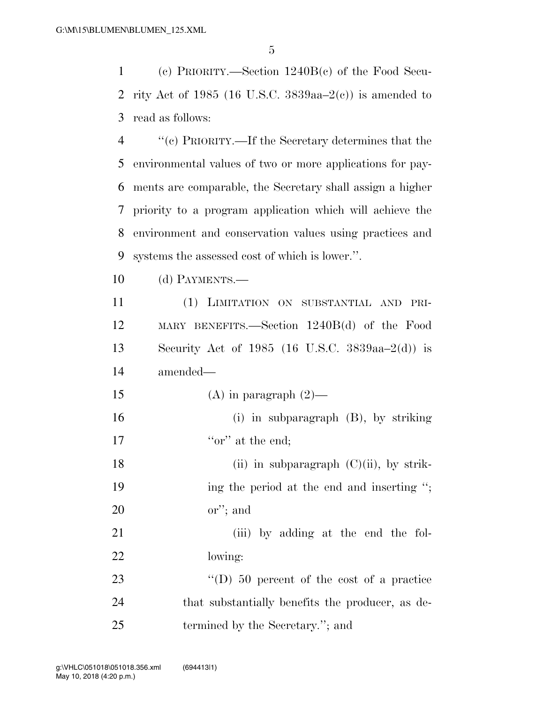1 (c) PRIORITY.—Section 1240B(c) of the Food Secu-2 rity Act of 1985 (16 U.S.C. 3839aa– $2(e)$ ) is amended to 3 read as follows:

 ''(c) PRIORITY.—If the Secretary determines that the environmental values of two or more applications for pay- ments are comparable, the Secretary shall assign a higher priority to a program application which will achieve the environment and conservation values using practices and systems the assessed cost of which is lower.''.

10 (d) PAYMENTS.—

 (1) LIMITATION ON SUBSTANTIAL AND PRI- MARY BENEFITS.—Section 1240B(d) of the Food Security Act of 1985 (16 U.S.C. 3839aa–2(d)) is amended—

15 (A) in paragraph  $(2)$ —

16 (i) in subparagraph (B), by striking 17  $\qquad \qquad$  "or" at the end:

18 (ii) in subparagraph  $(C)(ii)$ , by strik-19 ing the period at the end and inserting "; 20 or''; and

21 (iii) by adding at the end the fol-22 lowing:

23 "(D) 50 percent of the cost of a practice 24 that substantially benefits the producer, as de-25 termined by the Secretary."; and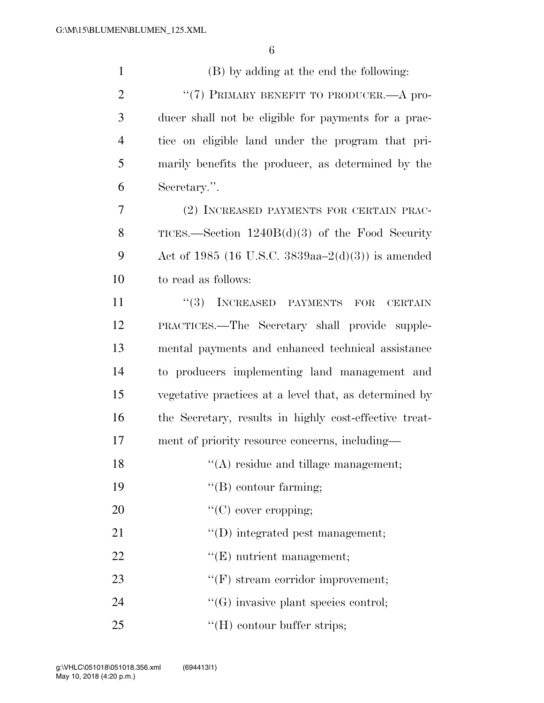(B) by adding at the end the following: 2 "(7) PRIMARY BENEFIT TO PRODUCER.—A pro- ducer shall not be eligible for payments for a prac- tice on eligible land under the program that pri- marily benefits the producer, as determined by the Secretary.''. (2) INCREASED PAYMENTS FOR CERTAIN PRAC- TICES.—Section 1240B(d)(3) of the Food Security Act of 1985 (16 U.S.C. 3839aa–2(d)(3)) is amended to read as follows: 11 ''(3) INCREASED PAYMENTS FOR CERTAIN PRACTICES.—The Secretary shall provide supple- mental payments and enhanced technical assistance to producers implementing land management and vegetative practices at a level that, as determined by the Secretary, results in highly cost-effective treat- ment of priority resource concerns, including—  $\langle (A) \rangle$  residue and tillage management;  $"$ (B) contour farming;  $\text{``(C) cover cropping;}$  $\text{``(D)}$  integrated pest management;  $\text{``(E)}$  nutrient management;  $\text{``(F)}$  stream corridor improvement;  $\text{``(G)}$  invasive plant species control; 25 ''(H) contour buffer strips;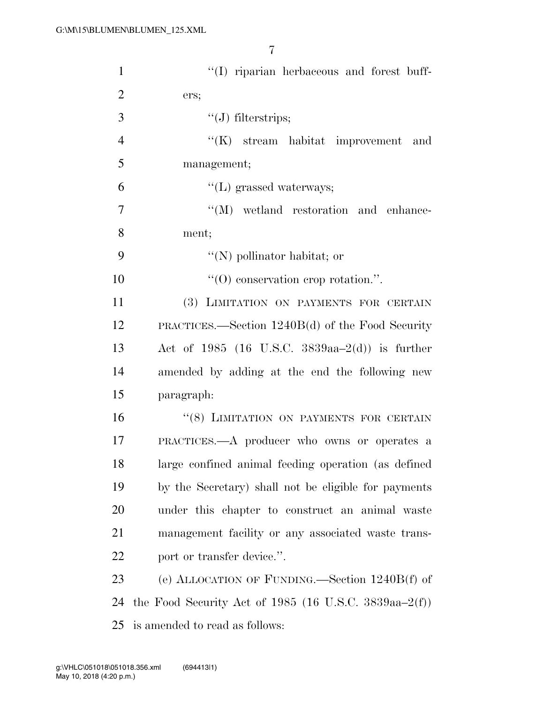| $\mathbf{1}$   | "(I) riparian herbaceous and forest buff-             |
|----------------|-------------------------------------------------------|
| $\overline{2}$ | ers;                                                  |
| 3              | $\lq\lq(J)$ filterstrips;                             |
| $\overline{4}$ | $\lq\lq$ stream habitat improvement and               |
| 5              | management;                                           |
| 6              | $\lq\lq(L)$ grassed waterways;                        |
| 7              | $\lq\lq (M)$ wetland restoration and enhance-         |
| 8              | ment;                                                 |
| 9              | $\lq\lq(N)$ pollinator habitat; or                    |
| 10             | $\lq\lq$ conservation erop rotation.".                |
| 11             | (3) LIMITATION ON PAYMENTS FOR CERTAIN                |
| 12             | PRACTICES.—Section $1240B(d)$ of the Food Security    |
| 13             | Act of 1985 (16 U.S.C. 3839aa-2(d)) is further        |
| 14             | amended by adding at the end the following new        |
| 15             | paragraph:                                            |
| 16             | "(8) LIMITATION ON PAYMENTS FOR CERTAIN               |
| 17             | PRACTICES.—A producer who owns or operates a          |
| 18             | large confined animal feeding operation (as defined   |
| 19             | by the Secretary) shall not be eligible for payments  |
| 20             | under this chapter to construct an animal waste       |
| 21             | management facility or any associated waste trans-    |
| 22             | port or transfer device.".                            |
| 23             | (e) ALLOCATION OF FUNDING.—Section 1240B(f) of        |
| 24             | the Food Security Act of 1985 (16 U.S.C. 3839aa–2(f)) |
| 25             | is amended to read as follows:                        |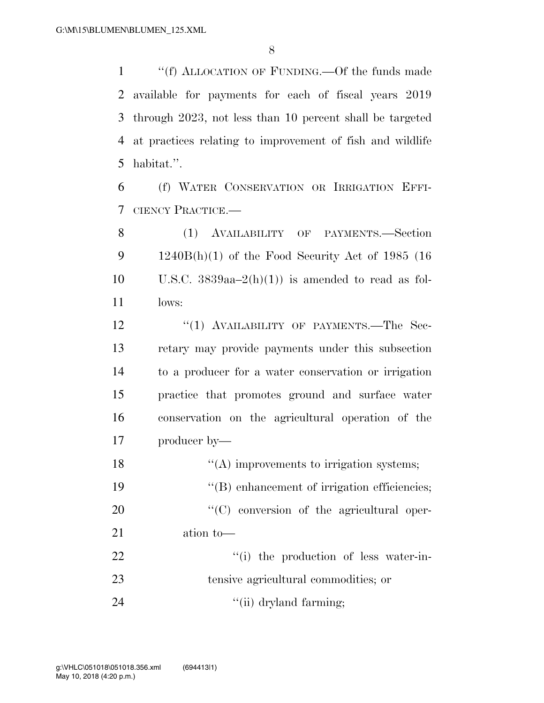''(f) ALLOCATION OF FUNDING.—Of the funds made available for payments for each of fiscal years 2019 through 2023, not less than 10 percent shall be targeted at practices relating to improvement of fish and wildlife habitat.''.

 (f) WATER CONSERVATION OR IRRIGATION EFFI-CIENCY PRACTICE.—

 (1) AVAILABILITY OF PAYMENTS.—Section 1240B(h)(1) of the Food Security Act of 1985 (16 10 U.S.C.  $3839aa-2(h)(1)$  is amended to read as fol-lows:

12 "(1) AVAILABILITY OF PAYMENTS.—The Sec- retary may provide payments under this subsection to a producer for a water conservation or irrigation practice that promotes ground and surface water conservation on the agricultural operation of the producer by—

 $\cdot$  (A) improvements to irrigation systems;  $''(B)$  enhancement of irrigation efficiencies;  $\cdot$  (C) conversion of the agricultural oper- ation to—  $\frac{1}{1}$  the production of less water-in- tensive agricultural commodities; or 24 ''(ii) dryland farming;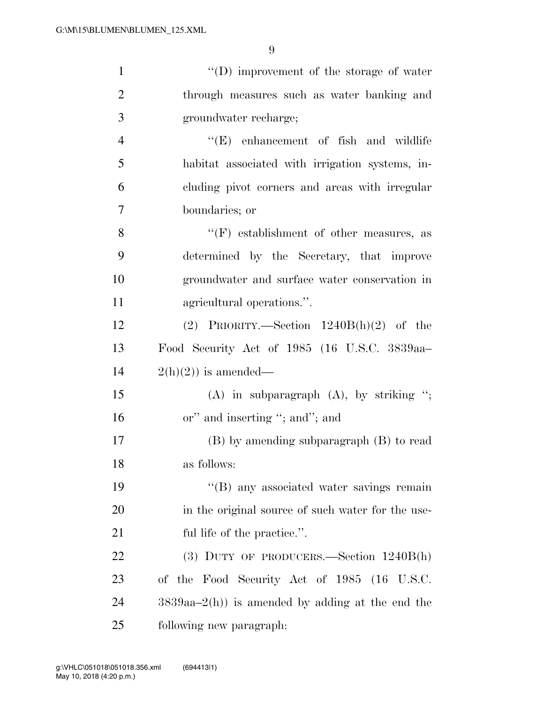| $\mathbf{1}$   | "(D) improvement of the storage of water          |
|----------------|---------------------------------------------------|
| $\overline{2}$ | through measures such as water banking and        |
| 3              | groundwater recharge;                             |
| $\overline{4}$ | $\lq\lq$ (E) enhancement of fish and wildlife     |
| 5              | habitat associated with irrigation systems, in-   |
| 6              | cluding pivot corners and areas with irregular    |
| $\overline{7}$ | boundaries; or                                    |
| 8              | $\lq\lq(F)$ establishment of other measures, as   |
| 9              | determined by the Secretary, that improve         |
| 10             | groundwater and surface water conservation in     |
| 11             | agricultural operations.".                        |
| 12             | (2) PRIORITY.—Section $1240B(h)(2)$ of the        |
| 13             | Food Security Act of 1985 (16 U.S.C. 3839aa-      |
| 14             | $2(h)(2)$ is amended—                             |
| 15             | $(A)$ in subparagraph $(A)$ , by striking ";      |
| 16             | or" and inserting "; and"; and                    |
| 17             | $(B)$ by amending subparagraph $(B)$ to read      |
| 18             | as follows:                                       |
| 19             | "(B) any associated water savings remain          |
| 20             | in the original source of such water for the use- |
| 21             | ful life of the practice.".                       |
| 22             | $(3)$ DUTY OF PRODUCERS.—Section $1240B(h)$       |
| 23             | of the Food Security Act of 1985 (16 U.S.C.       |
| 24             | $3839aa-2(h)$ is amended by adding at the end the |
| 25             | following new paragraph:                          |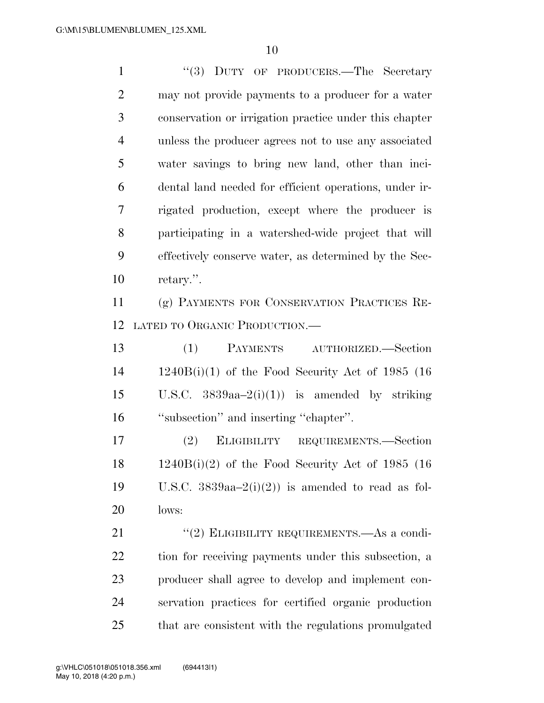1 "(3) DUTY OF PRODUCERS.—The Secretary may not provide payments to a producer for a water conservation or irrigation practice under this chapter unless the producer agrees not to use any associated water savings to bring new land, other than inci- dental land needed for efficient operations, under ir- rigated production, except where the producer is participating in a watershed-wide project that will effectively conserve water, as determined by the Sec-retary.''.

 (g) PAYMENTS FOR CONSERVATION PRACTICES RE-LATED TO ORGANIC PRODUCTION.—

 (1) PAYMENTS AUTHORIZED.—Section 1240B(i)(1) of the Food Security Act of 1985 (16 15 U.S.C.  $3839aa-2(i)(1)$  is amended by striking ''subsection'' and inserting ''chapter''.

 (2) ELIGIBILITY REQUIREMENTS.—Section 1240B(i)(2) of the Food Security Act of 1985 (16 19 U.S.C.  $3839aa-2(i)(2)$  is amended to read as fol-lows:

21 "(2) ELIGIBILITY REQUIREMENTS.—As a condi- tion for receiving payments under this subsection, a producer shall agree to develop and implement con- servation practices for certified organic production that are consistent with the regulations promulgated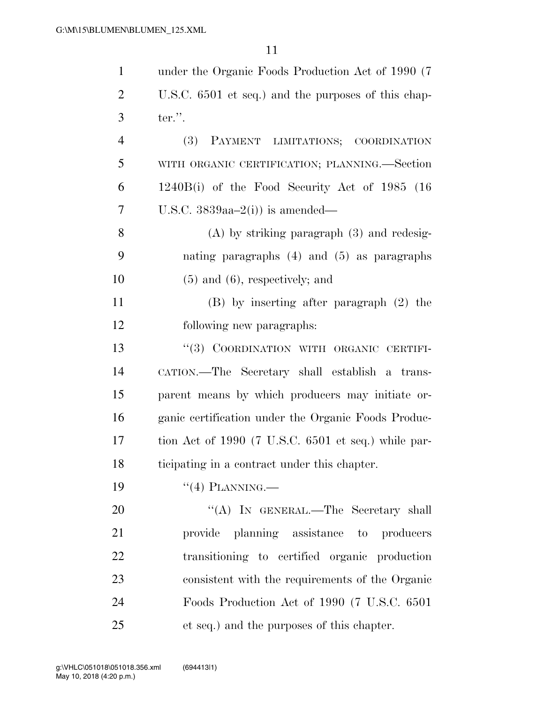| $\mathbf{1}$   | under the Organic Foods Production Act of 1990 (7)  |
|----------------|-----------------------------------------------------|
| $\overline{2}$ | U.S.C. 6501 et seq.) and the purposes of this chap- |
| 3              | ter.".                                              |
| $\overline{4}$ | <b>(3)</b><br>PAYMENT LIMITATIONS; COORDINATION     |
| 5              | WITH ORGANIC CERTIFICATION; PLANNING.—Section       |
| 6              | $1240B(i)$ of the Food Security Act of 1985 (16)    |
| 7              | U.S.C. $3839aa-2(i)$ is amended—                    |
| 8              | $(A)$ by striking paragraph $(3)$ and redesig-      |
| 9              | nating paragraphs $(4)$ and $(5)$ as paragraphs     |
| 10             | $(5)$ and $(6)$ , respectively; and                 |
| 11             | $(B)$ by inserting after paragraph $(2)$ the        |
| 12             | following new paragraphs:                           |
| 13             | "(3) COORDINATION WITH ORGANIC CERTIFI-             |
| 14             | CATION.—The Secretary shall establish a trans-      |
| 15             | parent means by which producers may initiate or-    |
| 16             | ganic certification under the Organic Foods Produc- |
| 17             | tion Act of 1990 (7 U.S.C. 6501 et seq.) while par- |
| 18             | ticipating in a contract under this chapter.        |
| 19             | $``(4)$ PLANNING.—                                  |
| 20             | "(A) IN GENERAL.—The Secretary shall                |
| 21             | provide planning assistance to producers            |
| 22             | transitioning to certified organic production       |
| 23             | consistent with the requirements of the Organic     |
| 24             | Foods Production Act of 1990 (7 U.S.C. 6501)        |
| 25             | et seq.) and the purposes of this chapter.          |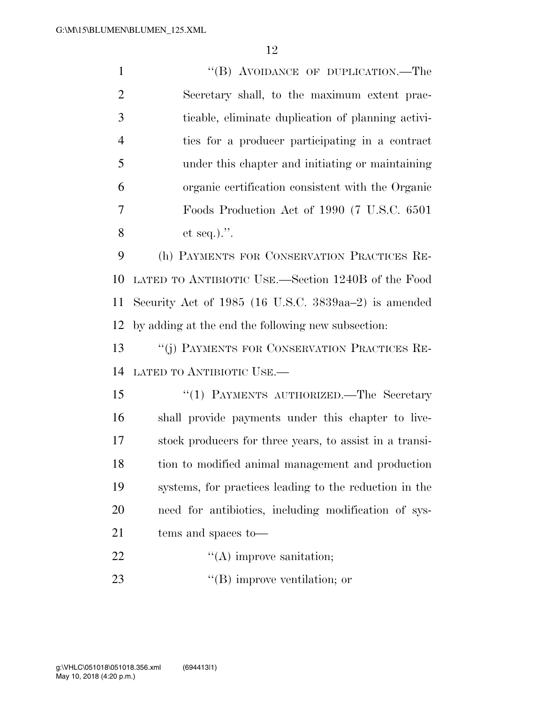1 "(B) AVOIDANCE OF DUPLICATION.—The Secretary shall, to the maximum extent prac- ticable, eliminate duplication of planning activi- ties for a producer participating in a contract under this chapter and initiating or maintaining organic certification consistent with the Organic Foods Production Act of 1990 (7 U.S.C. 6501 et seq.).''.

 (h) PAYMENTS FOR CONSERVATION PRACTICES RE- LATED TO ANTIBIOTIC USE.—Section 1240B of the Food Security Act of 1985 (16 U.S.C. 3839aa–2) is amended by adding at the end the following new subsection:

 ''(j) PAYMENTS FOR CONSERVATION PRACTICES RE-LATED TO ANTIBIOTIC USE.—

15 "(1) PAYMENTS AUTHORIZED.—The Secretary shall provide payments under this chapter to live- stock producers for three years, to assist in a transi- tion to modified animal management and production systems, for practices leading to the reduction in the need for antibiotics, including modification of sys-tems and spaces to—

- 22  $\text{``(A) improve anitation;}$
- 23  $\text{``(B) improve ventilation; or}$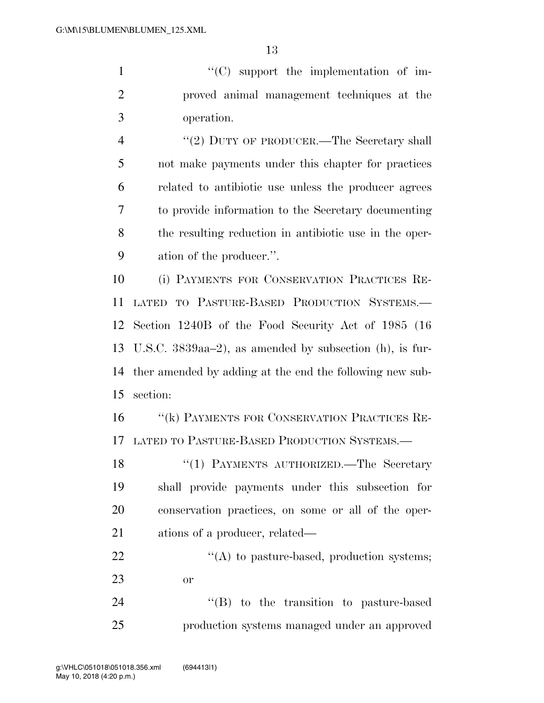''(C) support the implementation of im- proved animal management techniques at the operation.

4 "(2) DUTY OF PRODUCER.—The Secretary shall not make payments under this chapter for practices related to antibiotic use unless the producer agrees to provide information to the Secretary documenting the resulting reduction in antibiotic use in the oper-ation of the producer.''.

 (i) PAYMENTS FOR CONSERVATION PRACTICES RE- LATED TO PASTURE-BASED PRODUCTION SYSTEMS.— Section 1240B of the Food Security Act of 1985 (16 U.S.C. 3839aa–2), as amended by subsection (h), is fur- ther amended by adding at the end the following new sub-section:

 ''(k) PAYMENTS FOR CONSERVATION PRACTICES RE-LATED TO PASTURE-BASED PRODUCTION SYSTEMS.—

18 "(1) PAYMENTS AUTHORIZED.—The Secretary shall provide payments under this subsection for conservation practices, on some or all of the oper-21 ations of a producer, related—

 $\mathcal{L}(A)$  to pasture-based, production systems; or

24 ''(B) to the transition to pasture-based production systems managed under an approved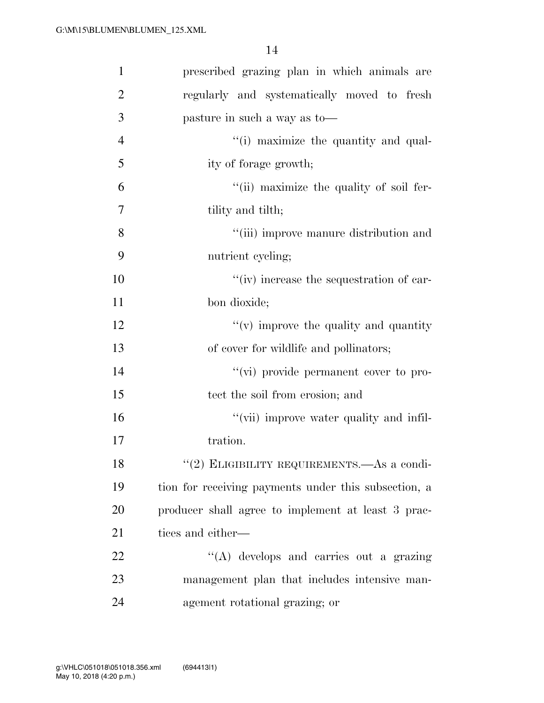| $\mathbf{1}$   | prescribed grazing plan in which animals are         |
|----------------|------------------------------------------------------|
| $\overline{2}$ | regularly and systematically moved to fresh          |
| 3              | pasture in such a way as to-                         |
| $\overline{4}$ | "(i) maximize the quantity and qual-                 |
| 5              | ity of forage growth;                                |
| 6              | "(ii) maximize the quality of soil fer-              |
| 7              | tility and tilth;                                    |
| 8              | "(iii) improve manure distribution and               |
| 9              | nutrient cycling;                                    |
| 10             | "(iv) increase the sequestration of car-             |
| 11             | bon dioxide;                                         |
| 12             | $f'(v)$ improve the quality and quantity             |
| 13             | of cover for wildlife and pollinators;               |
| 14             | "(vi) provide permanent cover to pro-                |
| 15             | tect the soil from erosion; and                      |
| 16             | "(vii) improve water quality and infil-              |
| 17             | tration.                                             |
| 18             | "(2) ELIGIBILITY REQUIREMENTS.—As a condi-           |
| 19             | tion for receiving payments under this subsection, a |
| 20             | producer shall agree to implement at least 3 prac-   |
| 21             | tices and either—                                    |
| 22             | $\lq\lq(A)$ develops and carries out a grazing       |
| 23             | management plan that includes intensive man-         |
| 24             | agement rotational grazing; or                       |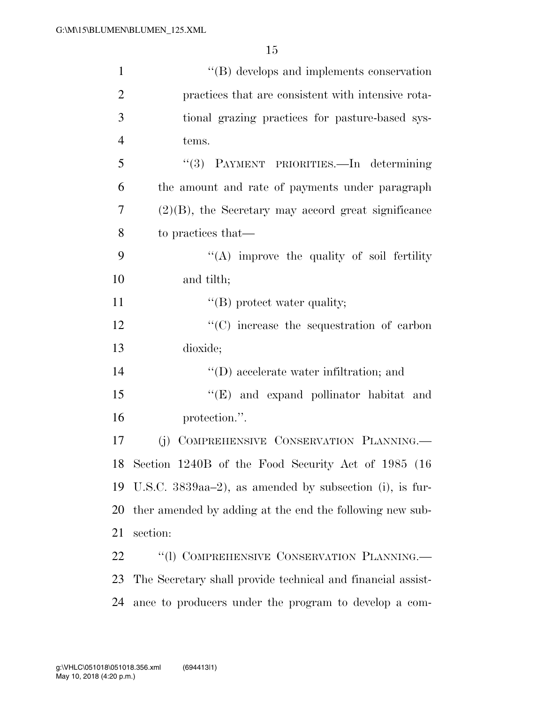| $\mathbf{1}$   | $\lq\lq (B)$ develops and implements conservation           |
|----------------|-------------------------------------------------------------|
| $\overline{2}$ | practices that are consistent with intensive rota-          |
| 3              | tional grazing practices for pasture-based sys-             |
| $\overline{4}$ | tems.                                                       |
| 5              | "(3) PAYMENT PRIORITIES.—In determining                     |
| 6              | the amount and rate of payments under paragraph             |
| 7              | $(2)(B)$ , the Secretary may accord great significance      |
| 8              | to practices that—                                          |
| 9              | "(A) improve the quality of soil fertility                  |
| 10             | and tilth;                                                  |
| 11             | $\lq\lq$ (B) protect water quality;                         |
| 12             | "(C) increase the sequestration of carbon                   |
| 13             | dioxide;                                                    |
| 14             | $\lq\lq$ (D) accelerate water infiltration; and             |
| 15             | "(E) and expand pollinator habitat and                      |
| 16             | protection.".                                               |
| 17             | COMPREHENSIVE CONSERVATION PLANNING.<br>(j)                 |
|                | 18 Section 1240B of the Food Security Act of 1985 (16       |
| 19             | U.S.C. $3839aa-2$ , as amended by subsection (i), is fur-   |
| 20             | ther amended by adding at the end the following new sub-    |
| 21             | section:                                                    |
| 22             | "(1) COMPREHENSIVE CONSERVATION PLANNING.                   |
| 23             | The Secretary shall provide technical and financial assist- |
| 24             | ance to producers under the program to develop a com-       |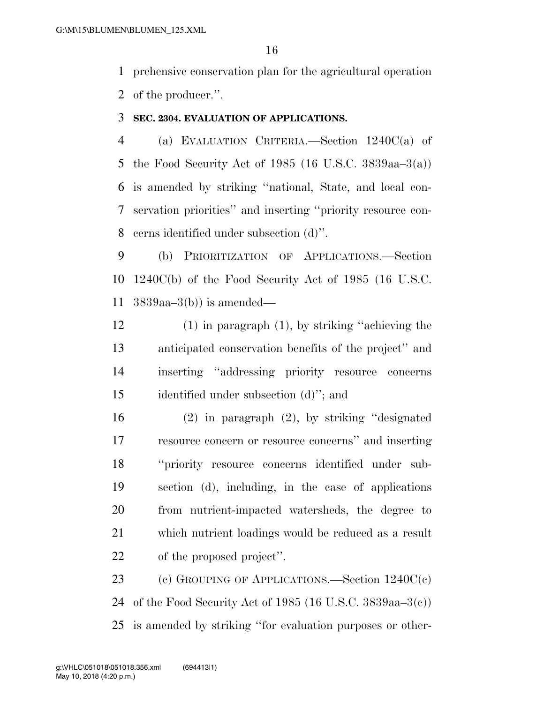prehensive conservation plan for the agricultural operation of the producer.''.

#### **SEC. 2304. EVALUATION OF APPLICATIONS.**

 (a) EVALUATION CRITERIA.—Section 1240C(a) of the Food Security Act of 1985 (16 U.S.C. 3839aa–3(a)) is amended by striking ''national, State, and local con- servation priorities'' and inserting ''priority resource con-cerns identified under subsection (d)''.

 (b) PRIORITIZATION OF APPLICATIONS.—Section 1240C(b) of the Food Security Act of 1985 (16 U.S.C. 3839aa–3(b)) is amended—

 (1) in paragraph (1), by striking ''achieving the anticipated conservation benefits of the project'' and inserting ''addressing priority resource concerns identified under subsection (d)''; and

 (2) in paragraph (2), by striking ''designated resource concern or resource concerns'' and inserting ''priority resource concerns identified under sub- section (d), including, in the case of applications from nutrient-impacted watersheds, the degree to which nutrient loadings would be reduced as a result of the proposed project''.

 (c) GROUPING OF APPLICATIONS.—Section 1240C(c) of the Food Security Act of 1985 (16 U.S.C. 3839aa–3(c)) is amended by striking ''for evaluation purposes or other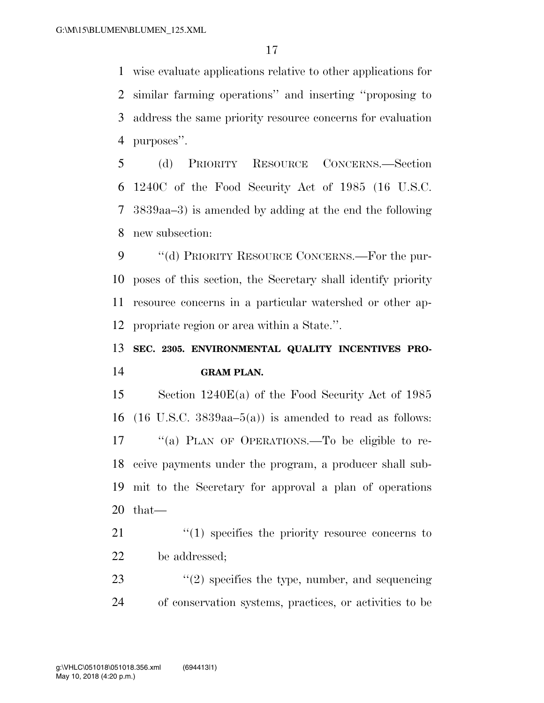wise evaluate applications relative to other applications for similar farming operations'' and inserting ''proposing to address the same priority resource concerns for evaluation purposes''.

 (d) PRIORITY RESOURCE CONCERNS.—Section 1240C of the Food Security Act of 1985 (16 U.S.C. 3839aa–3) is amended by adding at the end the following new subsection:

9 "(d) PRIORITY RESOURCE CONCERNS.—For the pur- poses of this section, the Secretary shall identify priority resource concerns in a particular watershed or other ap-propriate region or area within a State.''.

## **SEC. 2305. ENVIRONMENTAL QUALITY INCENTIVES PRO-GRAM PLAN.**

 Section 1240E(a) of the Food Security Act of 1985 16 (16 U.S.C.  $3839aa-5(a)$ ) is amended to read as follows: ''(a) PLAN OF OPERATIONS.—To be eligible to re- ceive payments under the program, a producer shall sub- mit to the Secretary for approval a plan of operations that—

21  $\frac{1}{2}$  (1) specifies the priority resource concerns to be addressed;

23  $(2)$  specifies the type, number, and sequencing of conservation systems, practices, or activities to be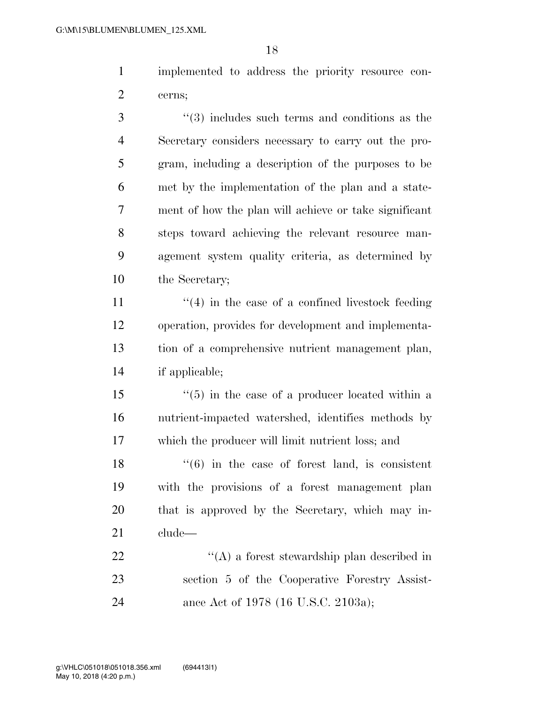implemented to address the priority resource con-cerns;

3 (4) includes such terms and conditions as the Secretary considers necessary to carry out the pro- gram, including a description of the purposes to be met by the implementation of the plan and a state- ment of how the plan will achieve or take significant steps toward achieving the relevant resource man- agement system quality criteria, as determined by 10 the Secretary;

 $\frac{1}{2}$  (4) in the case of a confined livestock feeding operation, provides for development and implementa- tion of a comprehensive nutrient management plan, if applicable;

 ''(5) in the case of a producer located within a nutrient-impacted watershed, identifies methods by which the producer will limit nutrient loss; and

 $\frac{18}{18}$  ''(6) in the case of forest land, is consistent with the provisions of a forest management plan that is approved by the Secretary, which may in-clude—

22  $\langle (A)$  a forest stewardship plan described in section 5 of the Cooperative Forestry Assist-ance Act of 1978 (16 U.S.C. 2103a);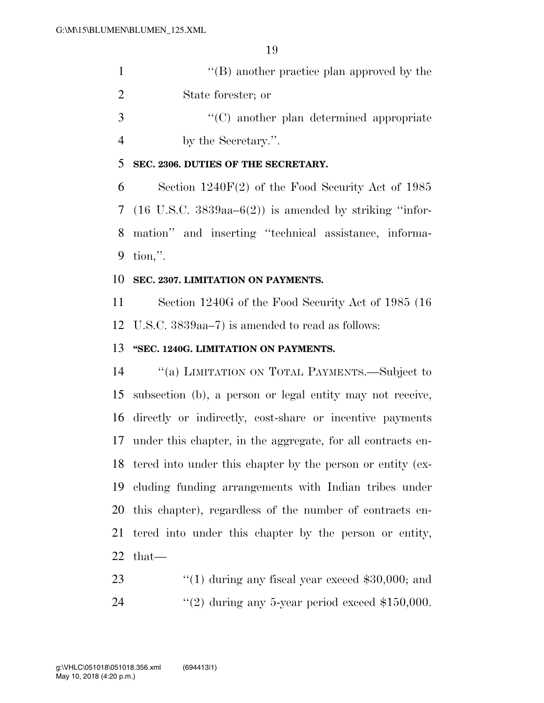| $\lq\lq (B)$ another practice plan approved by the |
|----------------------------------------------------|
| State forester; or                                 |
| $\lq\lq$ another plan determined appropriate       |

- by the Secretary.''.
- **SEC. 2306. DUTIES OF THE SECRETARY.**

 Section 1240F(2) of the Food Security Act of 1985 7 (16 U.S.C.  $3839aa-6(2)$ ) is amended by striking "infor- mation'' and inserting ''technical assistance, informa-tion,''.

#### **SEC. 2307. LIMITATION ON PAYMENTS.**

 Section 1240G of the Food Security Act of 1985 (16 U.S.C. 3839aa–7) is amended to read as follows:

#### **''SEC. 1240G. LIMITATION ON PAYMENTS.**

 ''(a) LIMITATION ON TOTAL PAYMENTS.—Subject to subsection (b), a person or legal entity may not receive, directly or indirectly, cost-share or incentive payments under this chapter, in the aggregate, for all contracts en- tered into under this chapter by the person or entity (ex- cluding funding arrangements with Indian tribes under this chapter), regardless of the number of contracts en- tered into under this chapter by the person or entity, that—

23 ''(1) during any fiscal year exceed \$30,000; and 24  $(2)$  during any 5-year period exceed \$150,000.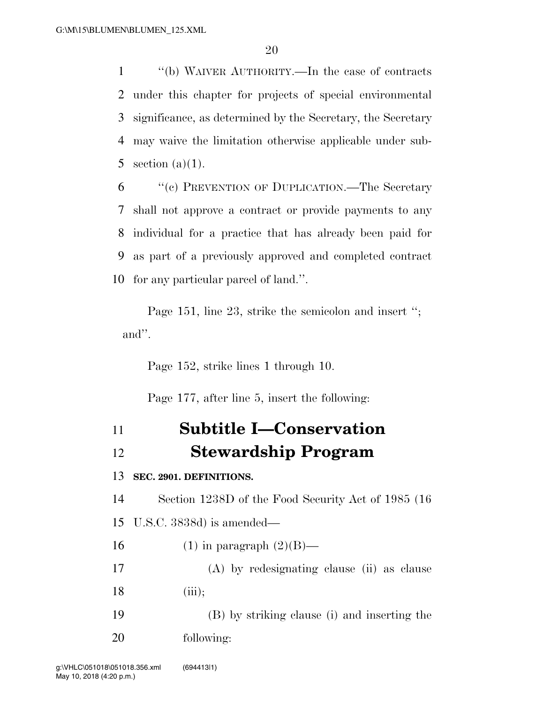''(b) WAIVER AUTHORITY.—In the case of contracts under this chapter for projects of special environmental significance, as determined by the Secretary, the Secretary may waive the limitation otherwise applicable under sub-5 section  $(a)(1)$ .

 ''(c) PREVENTION OF DUPLICATION.—The Secretary shall not approve a contract or provide payments to any individual for a practice that has already been paid for as part of a previously approved and completed contract for any particular parcel of land.''.

Page 151, line 23, strike the semicolon and insert ''; and''.

Page 152, strike lines 1 through 10.

Page 177, after line 5, insert the following:

# **Subtitle I—Conservation Stewardship Program**

#### **SEC. 2901. DEFINITIONS.**

 Section 1238D of the Food Security Act of 1985 (16 U.S.C. 3838d) is amended—

16 (1) in paragraph  $(2)(B)$ —

 (A) by redesignating clause (ii) as clause 18 (iii);

 (B) by striking clause (i) and inserting the following: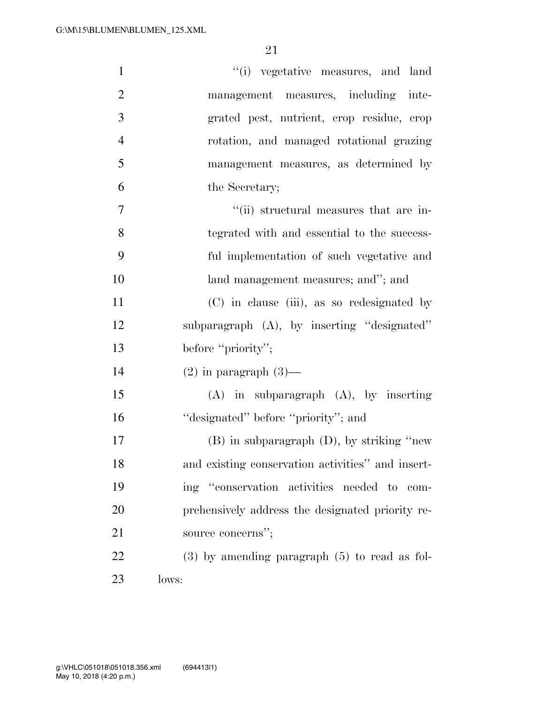| $\mathbf{1}$   | "(i) vegetative measures, and land                |
|----------------|---------------------------------------------------|
| $\overline{2}$ | management measures, including inte-              |
| 3              | grated pest, nutrient, crop residue, crop         |
| $\overline{4}$ | rotation, and managed rotational grazing          |
| 5              | management measures, as determined by             |
| 6              | the Secretary;                                    |
| 7              | "(ii) structural measures that are in-            |
| 8              | tegrated with and essential to the success-       |
| 9              | ful implementation of such vegetative and         |
| 10             | land management measures; and"; and               |
| 11             | (C) in clause (iii), as so redesignated by        |
| 12             | subparagraph (A), by inserting "designated"       |
| 13             | before "priority";                                |
| 14             | $(2)$ in paragraph $(3)$ —                        |
| 15             | $(A)$ in subparagraph $(A)$ , by inserting        |
| 16             | "designated" before "priority"; and               |
| 17             | $(B)$ in subparagraph $(D)$ , by striking "new    |
| 18             | and existing conservation activities" and insert- |
| 19             | ing "conservation activities needed to com-       |
| 20             | prehensively address the designated priority re-  |
| 21             | source concerns";                                 |
| 22             | $(3)$ by amending paragraph $(5)$ to read as fol- |
| 23             | lows:                                             |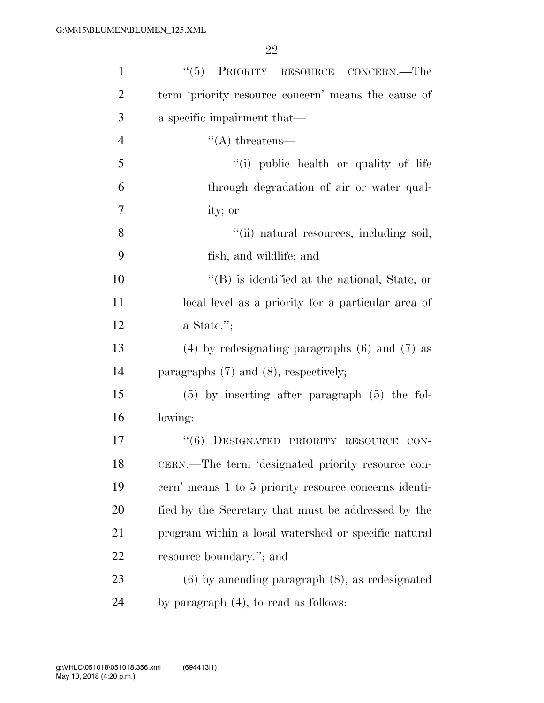| $\mathbf{1}$   | "(5) PRIORITY RESOURCE CONCERN.—The                   |
|----------------|-------------------------------------------------------|
| $\overline{2}$ | term 'priority resource concern' means the cause of   |
| 3              | a specific impairment that—                           |
| $\overline{4}$ | $\lq\lq$ threatens—                                   |
| 5              | "(i) public health or quality of life                 |
| 6              | through degradation of air or water qual-             |
| $\overline{7}$ | ity; or                                               |
| 8              | "(ii) natural resources, including soil,              |
| 9              | fish, and wildlife; and                               |
| 10             | $\lq\lq$ is identified at the national, State, or     |
| 11             | local level as a priority for a particular area of    |
| 12             | a State.";                                            |
| 13             | $(4)$ by redesignating paragraphs $(6)$ and $(7)$ as  |
| 14             | paragraphs $(7)$ and $(8)$ , respectively;            |
| 15             | $(5)$ by inserting after paragraph $(5)$ the fol-     |
| 16             | lowing:                                               |
| 17             | "(6) DESIGNATED PRIORITY RESOURCE<br>CON-             |
| 18             | CERN.—The term 'designated priority resource con-     |
| 19             | cern' means 1 to 5 priority resource concerns identi- |
| 20             | fied by the Secretary that must be addressed by the   |
| 21             | program within a local watershed or specific natural  |
| 22             | resource boundary."; and                              |
| 23             | $(6)$ by amending paragraph $(8)$ , as redesignated   |
| 24             | by paragraph $(4)$ , to read as follows:              |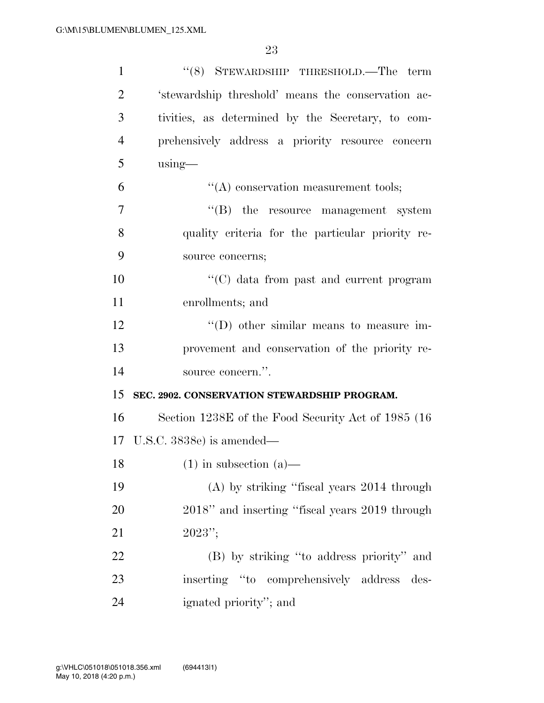| $\mathbf{1}$   | "(8) STEWARDSHIP THRESHOLD.—The term                |
|----------------|-----------------------------------------------------|
| $\overline{2}$ | 'stewardship threshold' means the conservation ac-  |
| 3              | tivities, as determined by the Secretary, to com-   |
| $\overline{4}$ | prehensively address a priority resource concern    |
| 5              | $using$ —                                           |
| 6              | $\lq\lq$ conservation measurement tools;            |
| 7              | $\lq\lq$ (B) the resource management system         |
| 8              | quality criteria for the particular priority re-    |
| 9              | source concerns;                                    |
| 10             | "(C) data from past and current program             |
| 11             | enrollments; and                                    |
| 12             | "(D) other similar means to measure im-             |
| 13             | provement and conservation of the priority re-      |
| 14             | source concern.".                                   |
| 15             | SEC. 2902. CONSERVATION STEWARDSHIP PROGRAM.        |
| 16             | Section 1238E of the Food Security Act of 1985 (16) |
|                | 17 U.S.C. 3838e) is amended—                        |
| 18             | $(1)$ in subsection $(a)$ —                         |
| 19             | (A) by striking "fiscal years 2014 through          |
| 20             | 2018" and inserting "fiscal years 2019 through      |
| 21             | $2023''$ ;                                          |
| 22             | (B) by striking "to address priority" and           |
| 23             | inserting "to comprehensively address<br>des-       |
| 24             | ignated priority"; and                              |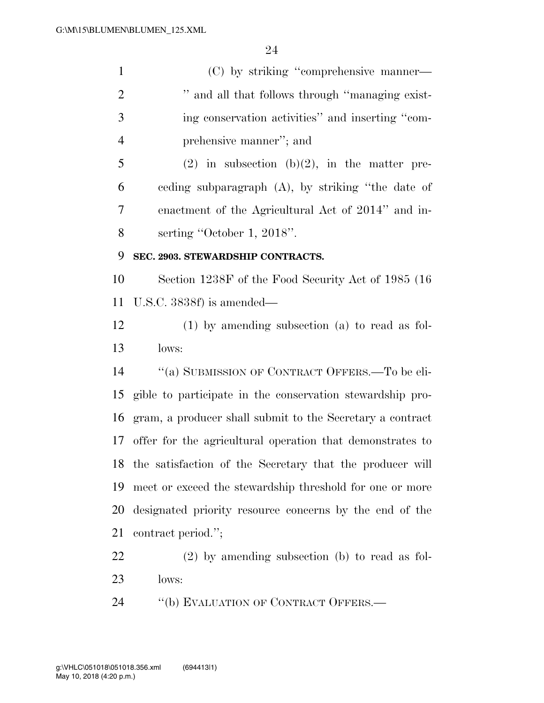(C) by striking ''comprehensive manner—  $\cdots$  and all that follows through "managing exist- ing conservation activities'' and inserting ''com- prehensive manner''; and 5 (2) in subsection (b)(2), in the matter pre- ceding subparagraph (A), by striking ''the date of enactment of the Agricultural Act of 2014'' and in- serting ''October 1, 2018''. **SEC. 2903. STEWARDSHIP CONTRACTS.**  Section 1238F of the Food Security Act of 1985 (16 U.S.C. 3838f) is amended— (1) by amending subsection (a) to read as fol- lows: ''(a) SUBMISSION OF CONTRACT OFFERS.—To be eli- gible to participate in the conservation stewardship pro- gram, a producer shall submit to the Secretary a contract offer for the agricultural operation that demonstrates to the satisfaction of the Secretary that the producer will meet or exceed the stewardship threshold for one or more designated priority resource concerns by the end of the contract period.''; (2) by amending subsection (b) to read as fol-

- lows:
- 24 "(b) EVALUATION OF CONTRACT OFFERS.—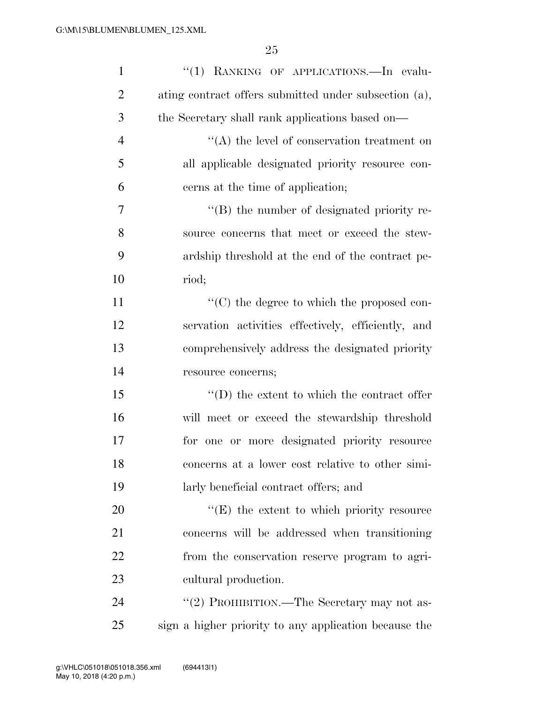| $\mathbf{1}$   | "(1) RANKING OF APPLICATIONS.-In evalu-               |
|----------------|-------------------------------------------------------|
| $\overline{2}$ | ating contract offers submitted under subsection (a), |
| 3              | the Secretary shall rank applications based on-       |
| $\overline{4}$ | $\lq\lq$ the level of conservation treatment on       |
| 5              | all applicable designated priority resource con-      |
| 6              | cerns at the time of application;                     |
| 7              | $\lq\lq (B)$ the number of designated priority re-    |
| 8              | source concerns that meet or exceed the stew-         |
| 9              | ardship threshold at the end of the contract pe-      |
| 10             | riod;                                                 |
| 11             | $\lq\lq$ (C) the degree to which the proposed con-    |
| 12             | servation activities effectively, efficiently, and    |
| 13             | comprehensively address the designated priority       |
| 14             | resource concerns;                                    |
| 15             | $\lq\lq$ the extent to which the contract offer       |
| 16             | will meet or exceed the stewardship threshold         |
| 17             | for one or more designated priority resource          |
| 18             | concerns at a lower cost relative to other simi-      |
| 19             | larly beneficial contract offers; and                 |
| 20             | $\lq\lq(E)$ the extent to which priority resource     |
| 21             | concerns will be addressed when transitioning         |
| 22             | from the conservation reserve program to agri-        |
| 23             | cultural production.                                  |
| 24             | "(2) PROHIBITION.—The Secretary may not as-           |
| 25             | sign a higher priority to any application because the |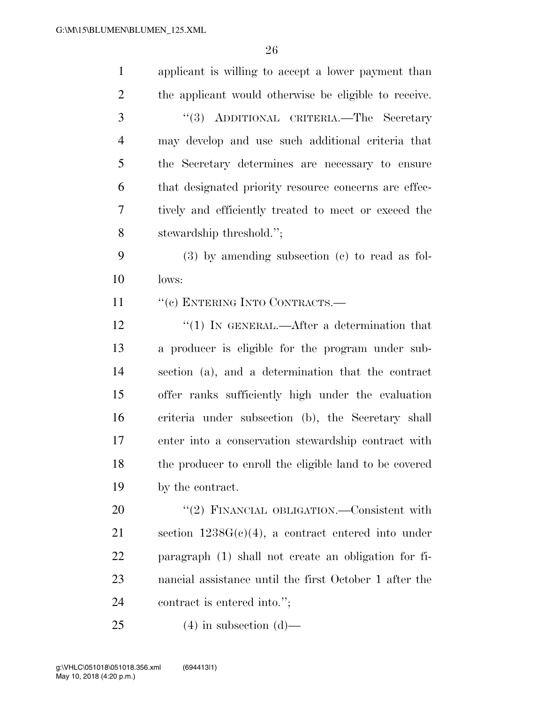| $\mathbf{1}$   | applicant is willing to accept a lower payment than    |
|----------------|--------------------------------------------------------|
| $\overline{2}$ | the applicant would otherwise be eligible to receive.  |
| 3              | "(3) ADDITIONAL CRITERIA.—The Secretary                |
| $\overline{4}$ | may develop and use such additional criteria that      |
| 5              | the Secretary determines are necessary to ensure       |
| 6              | that designated priority resource concerns are effec-  |
| 7              | tively and efficiently treated to meet or exceed the   |
| 8              | stewardship threshold.";                               |
| 9              | $(3)$ by amending subsection $(e)$ to read as fol-     |
| 10             | lows:                                                  |
| 11             | "(c) ENTERING INTO CONTRACTS.—                         |
| 12             | "(1) IN GENERAL.—After a determination that            |
| 13             | a producer is eligible for the program under sub-      |
| 14             | section (a), and a determination that the contract     |
| 15             | offer ranks sufficiently high under the evaluation     |
| 16             | criteria under subsection (b), the Secretary shall     |
| 17             | enter into a conservation stewardship contract with    |
| 18             | the producer to enroll the eligible land to be covered |
| 19             | by the contract.                                       |
| 20             | "(2) FINANCIAL OBLIGATION.—Consistent with             |
| 21             | section $1238G(c)(4)$ , a contract entered into under  |
| 22             | paragraph (1) shall not create an obligation for fi-   |
| 23             | nancial assistance until the first October 1 after the |
| 24             | contract is entered into.";                            |
| 25             | $(4)$ in subsection $(d)$ —                            |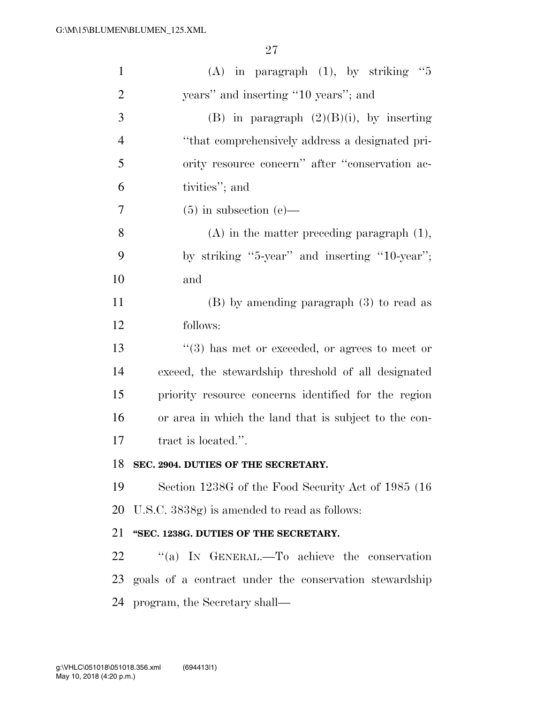| $\mathbf{1}$   | (A) in paragraph $(1)$ , by striking "5                |
|----------------|--------------------------------------------------------|
| $\overline{2}$ | years" and inserting "10 years"; and                   |
| 3              | (B) in paragraph $(2)(B)(i)$ , by inserting            |
| $\overline{4}$ | "that comprehensively address a designated pri-        |
| 5              | ority resource concern" after "conservation ac-        |
| 6              | tivities"; and                                         |
| 7              | $(5)$ in subsection $(e)$ —                            |
| 8              | $(A)$ in the matter preceding paragraph $(1)$ ,        |
| 9              | by striking "5-year" and inserting "10-year";          |
| 10             | and                                                    |
| 11             | $(B)$ by amending paragraph $(3)$ to read as           |
| 12             | follows:                                               |
| 13             | $(3)$ has met or exceeded, or agrees to meet or        |
| 14             | exceed, the stewardship threshold of all designated    |
| 15             | priority resource concerns identified for the region   |
| 16             | or area in which the land that is subject to the con-  |
| 17             | tract is located.".                                    |
| 18             | SEC. 2904. DUTIES OF THE SECRETARY.                    |
| 19             | Section 1238G of the Food Security Act of 1985 (16)    |
| 20             | U.S.C. 3838g) is amended to read as follows:           |
| 21             | "SEC. 1238G. DUTIES OF THE SECRETARY.                  |
| 22             | "(a) IN GENERAL.—To achieve the conservation           |
| 23             | goals of a contract under the conservation stewardship |
| 24             | program, the Secretary shall—                          |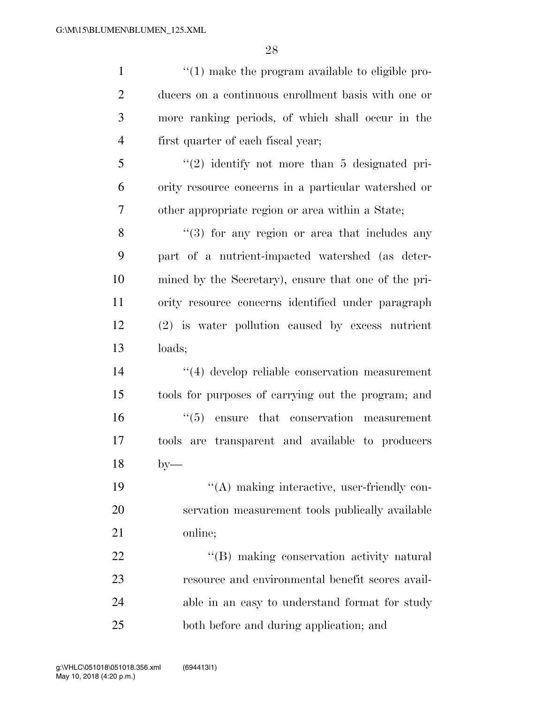| $\mathbf{1}$   | $\lq(1)$ make the program available to eligible pro- |
|----------------|------------------------------------------------------|
| $\overline{2}$ | ducers on a continuous enrollment basis with one or  |
| 3              | more ranking periods, of which shall occur in the    |
| $\overline{4}$ | first quarter of each fiscal year;                   |
| 5              | $\lq(2)$ identify not more than 5 designated pri-    |
| 6              | ority resource concerns in a particular watershed or |
| 7              | other appropriate region or area within a State;     |
| 8              | $(3)$ for any region or area that includes any       |
| 9              | part of a nutrient-impacted watershed (as deter-     |
| 10             | mined by the Secretary), ensure that one of the pri- |
| 11             | ority resource concerns identified under paragraph   |
| 12             | (2) is water pollution caused by excess nutrient     |
| 13             | loads;                                               |
| 14             | "(4) develop reliable conservation measurement       |
| 15             | tools for purposes of carrying out the program; and  |
| 16             | $\cdot$ (5) ensure that conservation measurement     |
| 17             | tools are transparent and available to producers     |
| 18             | $by-$                                                |
| 19             | "(A) making interactive, user-friendly con-          |
| 20             | servation measurement tools publically available     |
| 21             | online;                                              |
| 22             | "(B) making conservation activity natural            |
| 23             | resource and environmental benefit scores avail-     |
| 24             | able in an easy to understand format for study       |
| 25             | both before and during application; and              |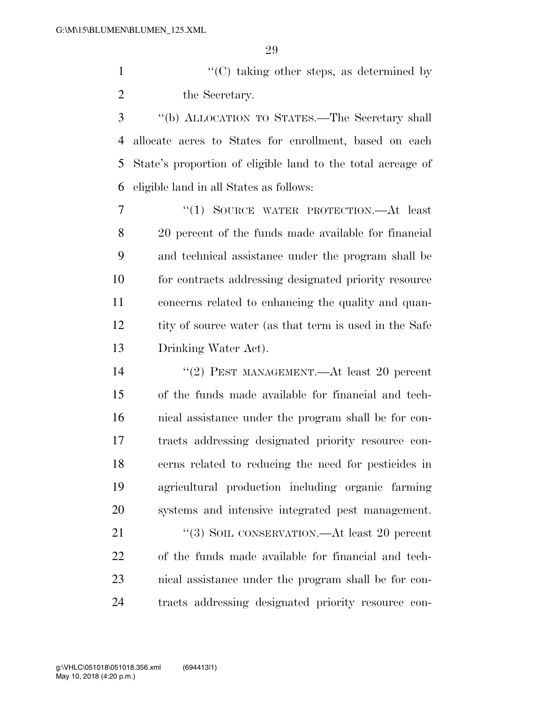1 ''(C) taking other steps, as determined by 2 the Secretary.

 ''(b) ALLOCATION TO STATES.—The Secretary shall allocate acres to States for enrollment, based on each State's proportion of eligible land to the total acreage of eligible land in all States as follows:

 ''(1) SOURCE WATER PROTECTION.—At least 20 percent of the funds made available for financial and technical assistance under the program shall be for contracts addressing designated priority resource concerns related to enhancing the quality and quan-12 tity of source water (as that term is used in the Safe Drinking Water Act).

 ''(2) PEST MANAGEMENT.—At least 20 percent of the funds made available for financial and tech- nical assistance under the program shall be for con- tracts addressing designated priority resource con- cerns related to reducing the need for pesticides in agricultural production including organic farming systems and intensive integrated pest management.

21 "(3) SOIL CONSERVATION.—At least 20 percent of the funds made available for financial and tech- nical assistance under the program shall be for con-tracts addressing designated priority resource con-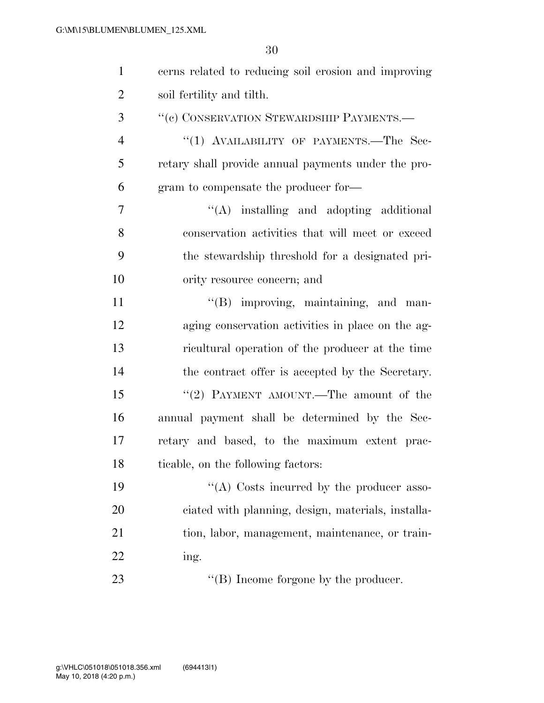| $\mathbf{1}$   | cerns related to reducing soil erosion and improving |
|----------------|------------------------------------------------------|
| $\overline{2}$ | soil fertility and tilth.                            |
| 3              | "(c) CONSERVATION STEWARDSHIP PAYMENTS.-             |
| $\overline{4}$ | "(1) AVAILABILITY OF PAYMENTS.—The Sec-              |
| 5              | retary shall provide annual payments under the pro-  |
| 6              | gram to compensate the producer for-                 |
| 7              | $\lq\lq$ installing and adopting additional          |
| $8\,$          | conservation activities that will meet or exceed     |
| 9              | the stewardship threshold for a designated pri-      |
| 10             | ority resource concern; and                          |
| 11             | "(B) improving, maintaining, and man-                |
| 12             | aging conservation activities in place on the ag-    |
| 13             | ricultural operation of the producer at the time     |
| 14             | the contract offer is accepted by the Secretary.     |
| 15             | "(2) PAYMENT AMOUNT.—The amount of the               |
| 16             | annual payment shall be determined by the Sec-       |
| 17             | retary and based, to the maximum extent prac-        |
| 18             | ticable, on the following factors:                   |
| 19             | "(A) Costs incurred by the producer asso-            |
| 20             | ciated with planning, design, materials, installa-   |
| 21             | tion, labor, management, maintenance, or train-      |
| 22             | ing.                                                 |
| 23             | $\lq\lq$ (B) Income forgone by the producer.         |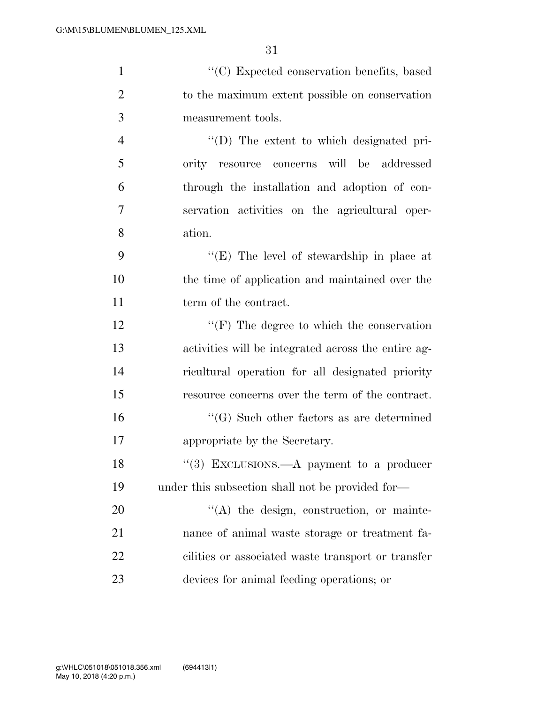| $\mathbf{1}$   | "(C) Expected conservation benefits, based          |
|----------------|-----------------------------------------------------|
| $\overline{2}$ | to the maximum extent possible on conservation      |
| 3              | measurement tools.                                  |
| $\overline{4}$ | "(D) The extent to which designated pri-            |
| 5              | ority resource concerns will be addressed           |
| 6              | through the installation and adoption of con-       |
| $\tau$         | servation activities on the agricultural oper-      |
| 8              | ation.                                              |
| 9              | "(E) The level of stewardship in place at           |
| 10             | the time of application and maintained over the     |
| 11             | term of the contract.                               |
| 12             | $\lq\lq(F)$ The degree to which the conservation    |
| 13             | activities will be integrated across the entire ag- |
| 14             | ricultural operation for all designated priority    |
| 15             | resource concerns over the term of the contract.    |
| 16             | $\lq\lq(G)$ Such other factors as are determined    |
| 17             | appropriate by the Secretary.                       |
| 18             | "(3) EXCLUSIONS.—A payment to a producer            |
| 19             | under this subsection shall not be provided for—    |
| 20             | "(A) the design, construction, or mainte-           |
| 21             | nance of animal waste storage or treatment fa-      |
| 22             | cilities or associated waste transport or transfer  |
| 23             | devices for animal feeding operations; or           |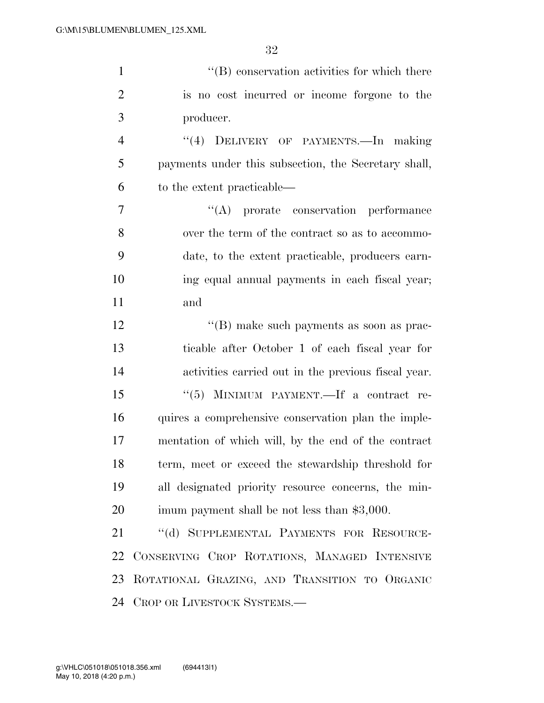| $\mathbf{1}$   | $\lq\lq$ conservation activities for which there     |
|----------------|------------------------------------------------------|
| $\overline{2}$ | is no cost incurred or income forgone to the         |
| 3              | producer.                                            |
| $\overline{4}$ | "(4) DELIVERY OF PAYMENTS.—In making                 |
| 5              | payments under this subsection, the Secretary shall, |
| 6              | to the extent practicable—                           |
| $\overline{7}$ | "(A) prorate conservation performance                |
| 8              | over the term of the contract so as to accommo-      |
| 9              | date, to the extent practicable, producers earn-     |
| 10             | ing equal annual payments in each fiscal year;       |
| 11             | and                                                  |
| 12             | "(B) make such payments as soon as prac-             |
| 13             | ticable after October 1 of each fiscal year for      |
| 14             | activities carried out in the previous fiscal year.  |
| 15             | MINIMUM PAYMENT.—If a contract re-<br>``(5)          |
| 16             | quires a comprehensive conservation plan the imple-  |
| 17             | mentation of which will, by the end of the contract  |
| 18             | term, meet or exceed the stewardship threshold for   |
| 19             | all designated priority resource concerns, the min-  |
| 20             | imum payment shall be not less than \$3,000.         |
| 21             | "(d) SUPPLEMENTAL PAYMENTS FOR RESOURCE-             |
| 22             | CONSERVING CROP ROTATIONS, MANAGED INTENSIVE         |
| 23             | ROTATIONAL GRAZING, AND TRANSITION TO ORGANIC        |
| 24             | CROP OR LIVESTOCK SYSTEMS.-                          |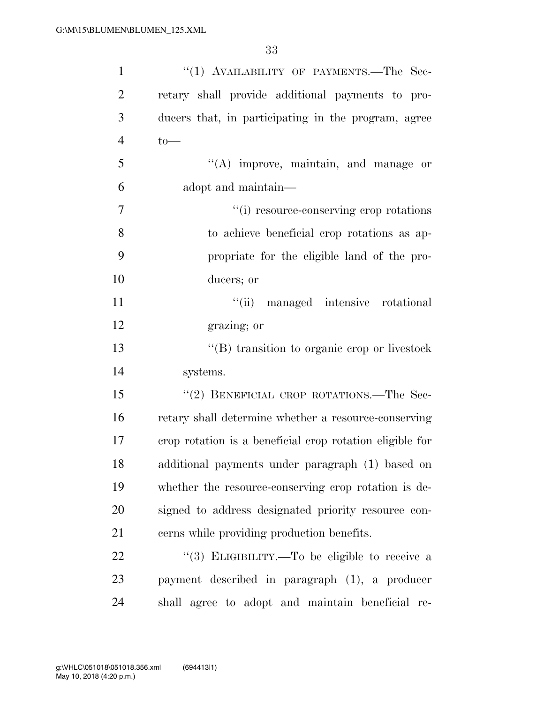| $\mathbf{1}$   | "(1) AVAILABILITY OF PAYMENTS.—The Sec-                  |
|----------------|----------------------------------------------------------|
| $\overline{2}$ | retary shall provide additional payments to pro-         |
| 3              | ducers that, in participating in the program, agree      |
| $\overline{4}$ | $to-$                                                    |
| 5              | $\lq\lq$ improve, maintain, and manage or                |
| 6              | adopt and maintain—                                      |
| 7              | "(i) resource-conserving crop rotations                  |
| 8              | to achieve beneficial crop rotations as ap-              |
| 9              | propriate for the eligible land of the pro-              |
| 10             | ducers; or                                               |
| 11             | "(ii) managed intensive rotational                       |
| 12             | grazing; or                                              |
| 13             | $\lq\lq$ transition to organic crop or livestock         |
| 14             | systems.                                                 |
| 15             | "(2) BENEFICIAL CROP ROTATIONS.—The Sec-                 |
| 16             | retary shall determine whether a resource-conserving     |
| 17             | erop rotation is a beneficial erop rotation eligible for |
| 18             | additional payments under paragraph (1) based on         |
| 19             | whether the resource-conserving crop rotation is de-     |
| 20             | signed to address designated priority resource con-      |
| 21             | cerns while providing production benefits.               |
| 22             | "(3) ELIGIBILITY.—To be eligible to receive a            |
| 23             | payment described in paragraph (1), a producer           |
| 24             | shall agree to adopt and maintain beneficial re-         |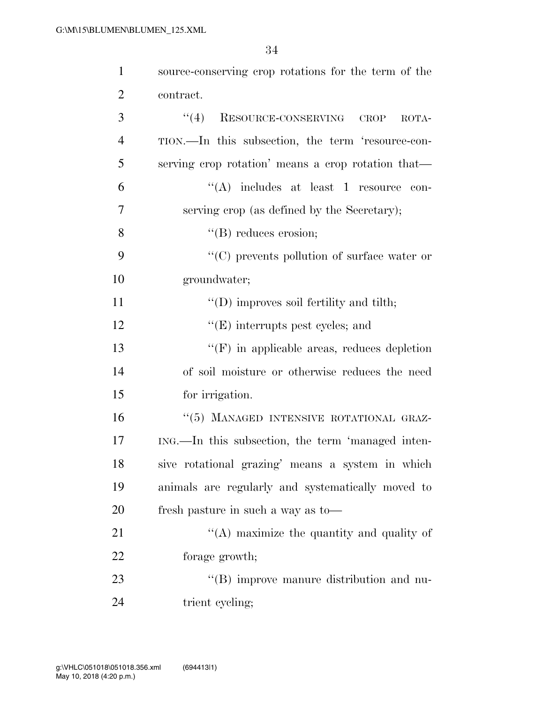| $\mathbf{1}$   | source-conserving crop rotations for the term of the |
|----------------|------------------------------------------------------|
| $\overline{2}$ | contract.                                            |
| 3              | (4)<br>RESOURCE-CONSERVING CROP<br>ROTA-             |
| $\overline{4}$ | TION.—In this subsection, the term 'resource-con-    |
| 5              | serving crop rotation' means a crop rotation that—   |
| 6              | $\lq\lq$ includes at least 1 resource con-           |
| 7              | serving crop (as defined by the Secretary);          |
| 8              | $\lq\lq (B)$ reduces erosion;                        |
| 9              | $\lq\lq$ prevents pollution of surface water or      |
| 10             | groundwater;                                         |
| 11             | $\lq\lq$ (D) improves soil fertility and tilth;      |
| 12             | $\lq\lq(E)$ interrupts pest cycles; and              |
| 13             | $\lq\lq(F)$ in applicable areas, reduces depletion   |
| 14             | of soil moisture or otherwise reduces the need       |
| 15             | for irrigation.                                      |
| 16             | "(5) MANAGED INTENSIVE ROTATIONAL GRAZ-              |
| 17             | ING.—In this subsection, the term 'managed inten-    |
| 18             | sive rotational grazing' means a system in which     |
| 19             | animals are regularly and systematically moved to    |
| 20             | fresh pasture in such a way as to-                   |
| 21             | $\lq\lq$ maximize the quantity and quality of        |
| 22             | forage growth;                                       |
| 23             | "(B) improve manure distribution and nu-             |
| 24             | trient cycling;                                      |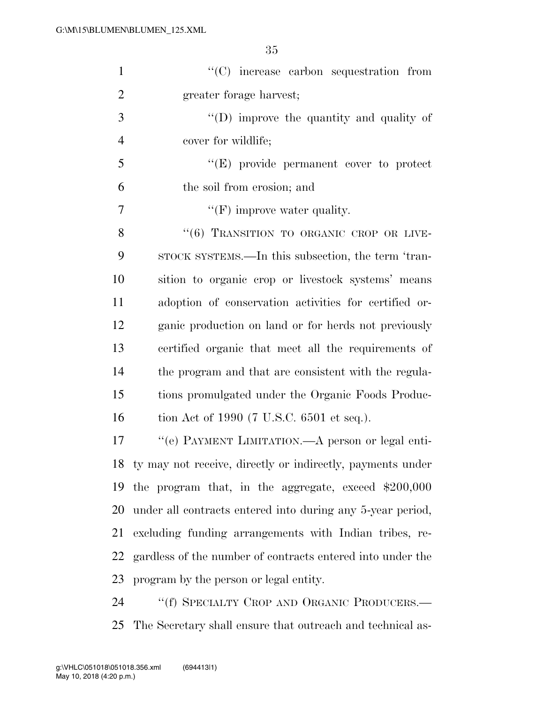| $\mathbf{1}$   | $\lq\lq$ increase carbon sequestration from                   |
|----------------|---------------------------------------------------------------|
| $\overline{2}$ | greater forage harvest;                                       |
| 3              | "(D) improve the quantity and quality of                      |
| $\overline{4}$ | cover for wildlife;                                           |
| 5              | "(E) provide permanent cover to protect                       |
| 6              | the soil from erosion; and                                    |
| $\overline{7}$ | $\lq\lq(F)$ improve water quality.                            |
| 8              | "(6) TRANSITION TO ORGANIC CROP OR LIVE-                      |
| 9              | STOCK SYSTEMS.—In this subsection, the term 'tran-            |
| 10             | sition to organic crop or livestock systems' means            |
| 11             | adoption of conservation activities for certified or-         |
| 12             | ganic production on land or for herds not previously          |
| 13             | certified organic that meet all the requirements of           |
| 14             | the program and that are consistent with the regula-          |
| 15             | tions promulgated under the Organic Foods Produc-             |
| 16             | tion Act of 1990 (7 U.S.C. 6501 et seq.).                     |
| 17             | "(e) PAYMENT LIMITATION.—A person or legal enti-              |
|                | 18 ty may not receive, directly or indirectly, payments under |
| 19             | the program that, in the aggregate, exceed $$200,000$         |
| 20             | under all contracts entered into during any 5-year period,    |
| 21             | excluding funding arrangements with Indian tribes, re-        |
| 22             | gardless of the number of contracts entered into under the    |
| 23             | program by the person or legal entity.                        |
| 24             | "(f) SPECIALTY CROP AND ORGANIC PRODUCERS.—                   |

The Secretary shall ensure that outreach and technical as-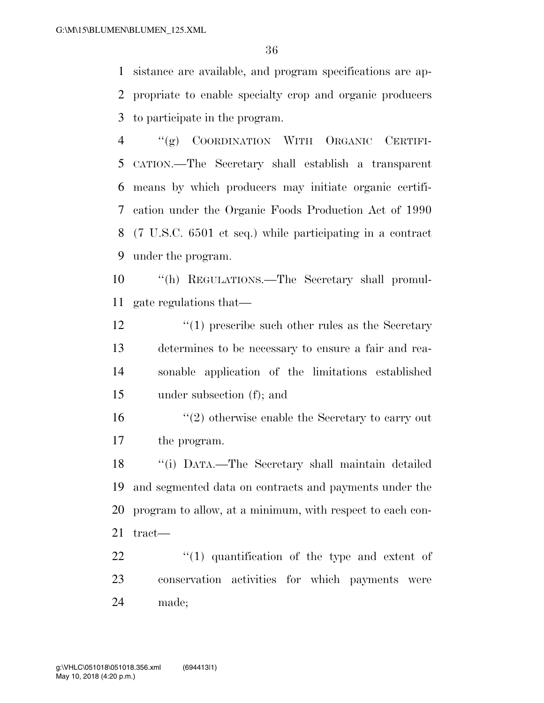sistance are available, and program specifications are ap- propriate to enable specialty crop and organic producers to participate in the program.

 ''(g) COORDINATION WITH ORGANIC CERTIFI- CATION.—The Secretary shall establish a transparent means by which producers may initiate organic certifi- cation under the Organic Foods Production Act of 1990 (7 U.S.C. 6501 et seq.) while participating in a contract under the program.

 ''(h) REGULATIONS.—The Secretary shall promul-gate regulations that—

12 ''(1) prescribe such other rules as the Secretary determines to be necessary to ensure a fair and rea- sonable application of the limitations established under subsection (f); and

 ''(2) otherwise enable the Secretary to carry out the program.

 ''(i) DATA.—The Secretary shall maintain detailed and segmented data on contracts and payments under the program to allow, at a minimum, with respect to each con-tract—

  $\qquad$   $\qquad$   $(1)$  quantification of the type and extent of conservation activities for which payments were made;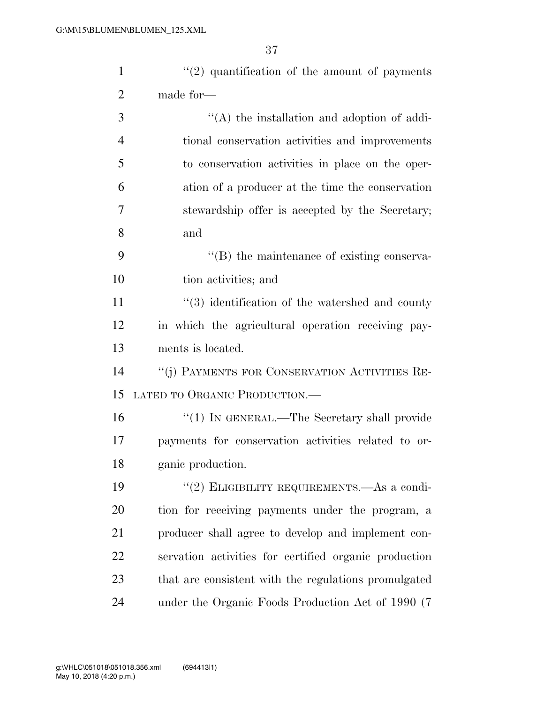| $\mathbf{1}$   | $\lq(2)$ quantification of the amount of payments     |
|----------------|-------------------------------------------------------|
| $\overline{2}$ | made for-                                             |
| 3              | $\lq\lq$ the installation and adoption of addi-       |
| $\overline{4}$ | tional conservation activities and improvements       |
| 5              | to conservation activities in place on the oper-      |
| 6              | ation of a producer at the time the conservation      |
| 7              | stewardship offer is accepted by the Secretary;       |
| 8              | and                                                   |
| 9              | "(B) the maintenance of existing conserva-            |
| 10             | tion activities; and                                  |
| 11             | $\lq(3)$ identification of the watershed and county   |
| 12             | in which the agricultural operation receiving pay-    |
| 13             | ments is located.                                     |
| 14             | "(j) PAYMENTS FOR CONSERVATION ACTIVITIES RE-         |
| 15             | LATED TO ORGANIC PRODUCTION.-                         |
| 16             | "(1) IN GENERAL.—The Secretary shall provide          |
| 17             | payments for conservation activities related to or-   |
| 18             | ganic production.                                     |
| 19             | "(2) ELIGIBILITY REQUIREMENTS.—As a condi-            |
| 20             | tion for receiving payments under the program, a      |
| 21             | producer shall agree to develop and implement con-    |
| 22             | servation activities for certified organic production |
| 23             | that are consistent with the regulations promulgated  |
| 24             | under the Organic Foods Production Act of 1990 (7)    |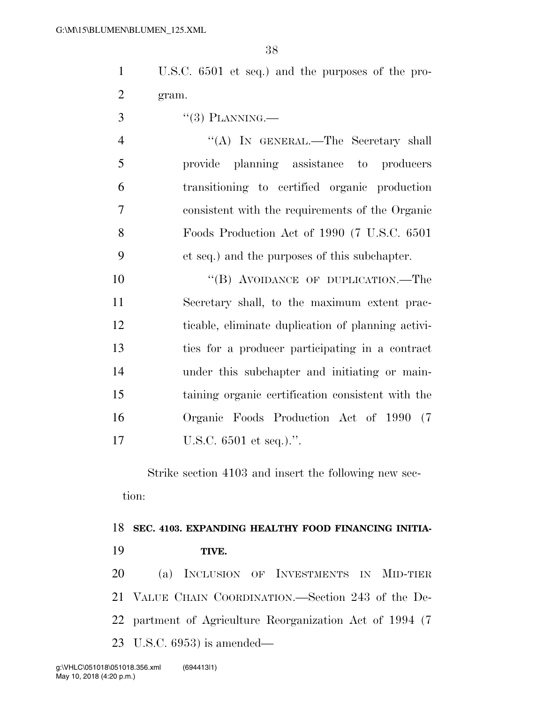U.S.C. 6501 et seq.) and the purposes of the pro-gram.

 $3 \qquad \qquad$  "(3) PLANNING.

 ''(A) IN GENERAL.—The Secretary shall provide planning assistance to producers transitioning to certified organic production consistent with the requirements of the Organic Foods Production Act of 1990 (7 U.S.C. 6501 et seq.) and the purposes of this subchapter.

10 "(B) AVOIDANCE OF DUPLICATION.—The Secretary shall, to the maximum extent prac- ticable, eliminate duplication of planning activi- ties for a producer participating in a contract under this subchapter and initiating or main- taining organic certification consistent with the Organic Foods Production Act of 1990 (7 U.S.C. 6501 et seq.).''.

Strike section 4103 and insert the following new section:

## **SEC. 4103. EXPANDING HEALTHY FOOD FINANCING INITIA-TIVE.**

 (a) INCLUSION OF INVESTMENTS IN MID-TIER VALUE CHAIN COORDINATION.—Section 243 of the De- partment of Agriculture Reorganization Act of 1994 (7 U.S.C. 6953) is amended—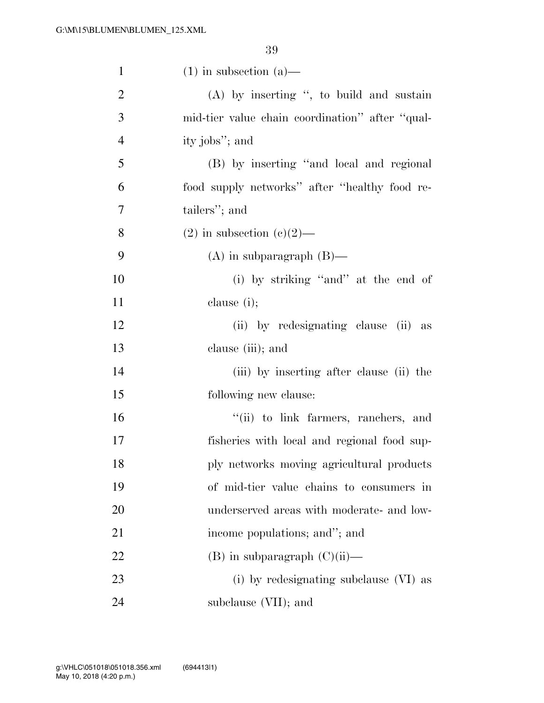| $\mathbf{1}$   | $(1)$ in subsection $(a)$ —                     |
|----------------|-------------------------------------------------|
| $\overline{2}$ | $(A)$ by inserting ", to build and sustain      |
| 3              | mid-tier value chain coordination" after "qual- |
| $\overline{4}$ | ity jobs"; and                                  |
| 5              | (B) by inserting "and local and regional        |
| 6              | food supply networks" after "healthy food re-   |
| 7              | tailers"; and                                   |
| 8              | $(2)$ in subsection $(e)(2)$ —                  |
| 9              | $(A)$ in subparagraph $(B)$ —                   |
| 10             | (i) by striking "and" at the end of             |
| 11             | clause $(i)$ ;                                  |
| 12             | (ii) by redesignating clause (ii) as            |
| 13             | clause (iii); and                               |
| 14             | (iii) by inserting after clause (ii) the        |
| 15             | following new clause:                           |
| 16             | "(ii) to link farmers, ranchers, and            |
| 17             | fisheries with local and regional food sup-     |
| 18             | ply networks moving agricultural products       |
| 19             | of mid-tier value chains to consumers in        |
| 20             | underserved areas with moderate- and low-       |
| 21             | income populations; and"; and                   |
| 22             | $(B)$ in subparagraph $(C)(ii)$ —               |
| 23             | (i) by redesignating subclause (VI) as          |
| 24             | subclause (VII); and                            |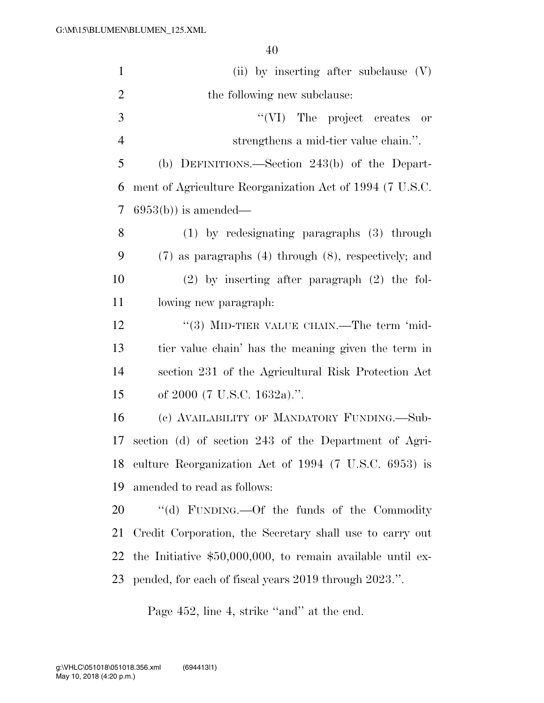| $\mathbf{1}$   | (ii) by inserting after subclause $(V)$                      |
|----------------|--------------------------------------------------------------|
| $\overline{2}$ | the following new subclause:                                 |
| 3              | "(VI) The project creates or                                 |
| $\overline{4}$ | strengthens a mid-tier value chain.".                        |
| 5              | (b) DEFINITIONS.—Section 243(b) of the Depart-               |
| 6              | ment of Agriculture Reorganization Act of 1994 (7 U.S.C.     |
| 7              | $6953(b)$ is amended—                                        |
| 8              | $(1)$ by redesignating paragraphs $(3)$ through              |
| 9              | $(7)$ as paragraphs $(4)$ through $(8)$ , respectively; and  |
| 10             | $(2)$ by inserting after paragraph $(2)$ the fol-            |
| 11             | lowing new paragraph.                                        |
| 12             | "(3) MID-TIER VALUE CHAIN.—The term 'mid-                    |
| 13             | tier value chain' has the meaning given the term in          |
| 14             | section 231 of the Agricultural Risk Protection Act          |
| 15             | of $2000$ (7 U.S.C. 1632a).".                                |
| 16             | (c) AVAILABILITY OF MANDATORY FUNDING.—Sub-                  |
| 17             | section (d) of section 243 of the Department of Agri-        |
| 18             | culture Reorganization Act of 1994 (7 U.S.C. 6953) is        |
| 19             | amended to read as follows:                                  |
| 20             | "(d) FUNDING.—Of the funds of the Commodity                  |
| 21             | Credit Corporation, the Secretary shall use to carry out     |
| 22             | the Initiative $$50,000,000$ , to remain available until ex- |
| 23             | pended, for each of fiscal years 2019 through 2023.".        |

Page 452, line 4, strike "and" at the end.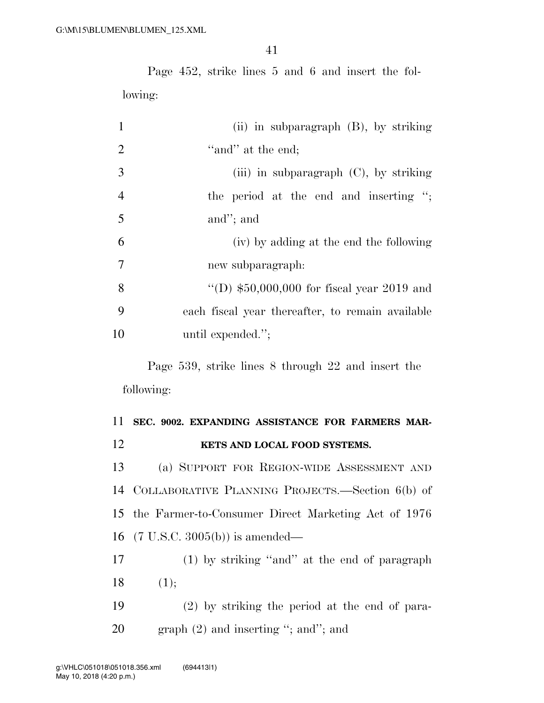Page 452, strike lines 5 and 6 and insert the following:

| $\mathbf{1}$   | (ii) in subparagraph $(B)$ , by striking         |
|----------------|--------------------------------------------------|
| 2              | "and" at the end;                                |
| 3              | (iii) in subparagraph $(C)$ , by striking        |
| $\overline{4}$ | the period at the end and inserting $\cdot$ ;    |
| 5              | and"; and                                        |
| 6              | (iv) by adding at the end the following          |
| 7              | new subparagraph:                                |
| 8              | "(D) $$50,000,000$ for fiscal year 2019 and      |
| 9              | each fiscal year thereafter, to remain available |
| 10             | until expended.";                                |

Page 539, strike lines 8 through 22 and insert the following:

### **SEC. 9002. EXPANDING ASSISTANCE FOR FARMERS MAR-KETS AND LOCAL FOOD SYSTEMS.**

 (a) SUPPORT FOR REGION-WIDE ASSESSMENT AND COLLABORATIVE PLANNING PROJECTS.—Section 6(b) of the Farmer-to-Consumer Direct Marketing Act of 1976 (7 U.S.C. 3005(b)) is amended—

 (1) by striking ''and'' at the end of paragraph  $18 \t(1);$ 

 (2) by striking the period at the end of para-20 graph (2) and inserting "; and"; and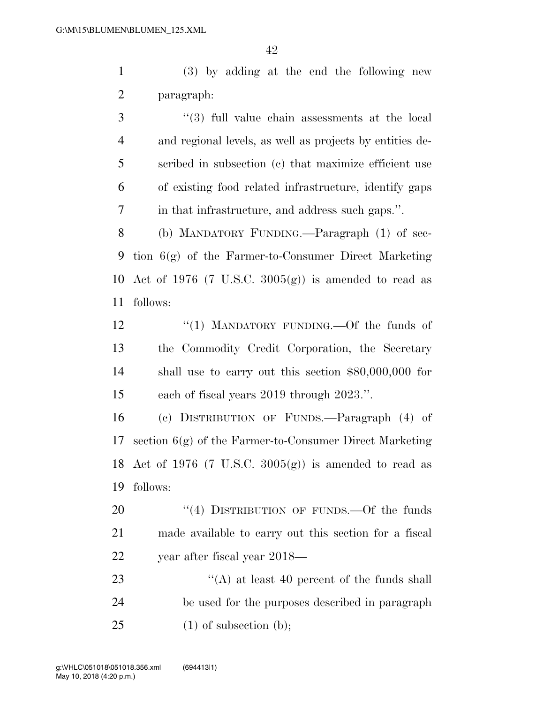(3) by adding at the end the following new paragraph:

 ''(3) full value chain assessments at the local and regional levels, as well as projects by entities de- scribed in subsection (c) that maximize efficient use of existing food related infrastructure, identify gaps in that infrastructure, and address such gaps.''.

 (b) MANDATORY FUNDING.—Paragraph (1) of sec- tion 6(g) of the Farmer-to-Consumer Direct Marketing 10 Act of 1976 (7 U.S.C.  $3005(g)$ ) is amended to read as follows:

12 "(1) MANDATORY FUNDING.—Of the funds of the Commodity Credit Corporation, the Secretary shall use to carry out this section \$80,000,000 for each of fiscal years 2019 through 2023.''.

 (c) DISTRIBUTION OF FUNDS.—Paragraph (4) of section 6(g) of the Farmer-to-Consumer Direct Marketing 18 Act of 1976 (7 U.S.C.  $3005(g)$ ) is amended to read as follows:

20 "(4) DISTRIBUTION OF FUNDS.—Of the funds made available to carry out this section for a fiscal year after fiscal year 2018—

23 ''(A) at least 40 percent of the funds shall be used for the purposes described in paragraph 25  $(1)$  of subsection (b);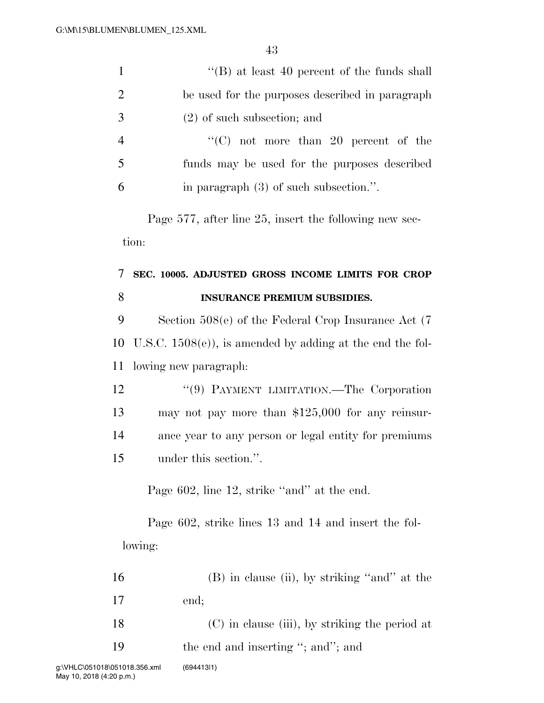| $\mathbf{1}$   | "(B) at least 40 percent of the funds shall                 |
|----------------|-------------------------------------------------------------|
| $\overline{2}$ | be used for the purposes described in paragraph             |
| 3              | $(2)$ of such subsection; and                               |
| $\overline{4}$ | "(C) not more than 20 percent of the                        |
| 5              | funds may be used for the purposes described                |
| 6              | in paragraph $(3)$ of such subsection.".                    |
|                | Page 577, after line 25, insert the following new sec-      |
|                | tion:                                                       |
| 7              | SEC. 10005. ADJUSTED GROSS INCOME LIMITS FOR CROP           |
| 8              | <b>INSURANCE PREMIUM SUBSIDIES.</b>                         |
| 9              | Section $508(e)$ of the Federal Crop Insurance Act $(7)$    |
| 10             | U.S.C. $1508(e)$ , is amended by adding at the end the fol- |
| 11             | lowing new paragraph:                                       |
| 12             | "(9) PAYMENT LIMITATION.—The Corporation                    |
| 13             | may not pay more than $$125,000$ for any reinsur-           |
| 14             | ance year to any person or legal entity for premiums        |
| 15             | under this section."                                        |
|                | Page 602, line 12, strike "and" at the end.                 |
|                | Page 602, strike lines 13 and 14 and insert the fol-        |
|                | lowing:                                                     |
| 16             | $(B)$ in clause (ii), by striking "and" at the              |
| 17             | end;                                                        |
| 18             | (C) in clause (iii), by striking the period at              |

19 the end and inserting "; and"; and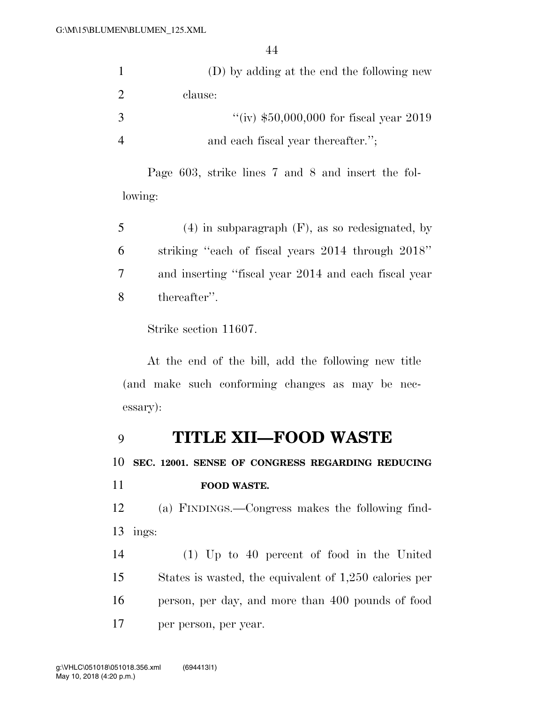|    | (D) by adding at the end the following new |
|----|--------------------------------------------|
| 2  | clause:                                    |
| -3 | "(iv) $$50,000,000$ for fiscal year 2019   |
|    | and each fiscal year thereafter.";         |

Page 603, strike lines 7 and 8 and insert the following:

| 5      | $(4)$ in subparagraph $(F)$ , as so redesignated, by |
|--------|------------------------------------------------------|
| 6      | striking "each of fiscal years 2014 through 2018"    |
| $\tau$ | and inserting "fiscal year 2014 and each fiscal year |
| 8      | thereafter".                                         |

Strike section 11607.

At the end of the bill, add the following new title (and make such conforming changes as may be necessary):

### **TITLE XII—FOOD WASTE**

**SEC. 12001. SENSE OF CONGRESS REGARDING REDUCING** 

| 11 | <b>FOOD WASTE.</b> |
|----|--------------------|
|    |                    |

 (a) FINDINGS.—Congress makes the following find-ings:

 (1) Up to 40 percent of food in the United States is wasted, the equivalent of 1,250 calories per person, per day, and more than 400 pounds of food per person, per year.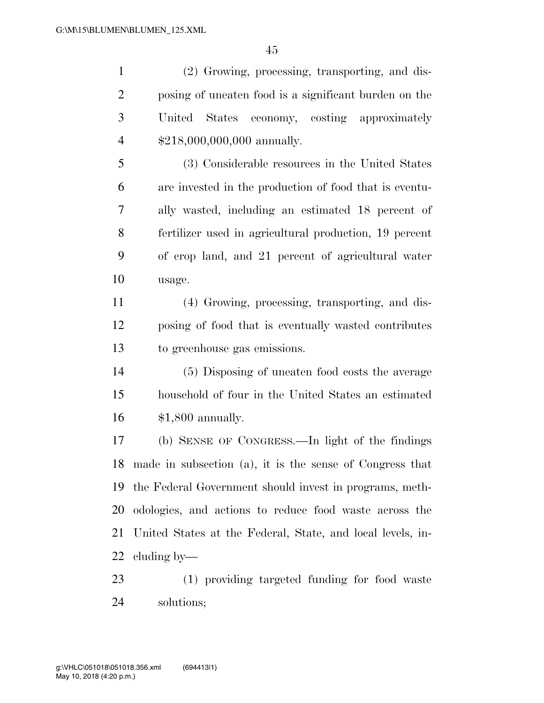(2) Growing, processing, transporting, and dis- posing of uneaten food is a significant burden on the United States economy, costing approximately \$218,000,000,000 annually.

 (3) Considerable resources in the United States are invested in the production of food that is eventu- ally wasted, including an estimated 18 percent of fertilizer used in agricultural production, 19 percent of crop land, and 21 percent of agricultural water usage.

 (4) Growing, processing, transporting, and dis- posing of food that is eventually wasted contributes to greenhouse gas emissions.

 (5) Disposing of uneaten food costs the average household of four in the United States an estimated \$1,800 annually.

 (b) SENSE OF CONGRESS.—In light of the findings made in subsection (a), it is the sense of Congress that the Federal Government should invest in programs, meth- odologies, and actions to reduce food waste across the United States at the Federal, State, and local levels, in-cluding by—

 (1) providing targeted funding for food waste solutions;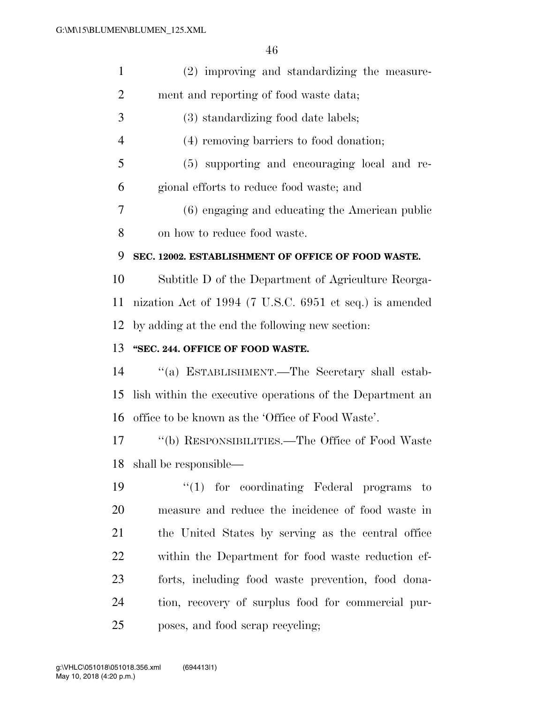| $\mathbf{1}$   | (2) improving and standardizing the measure-              |
|----------------|-----------------------------------------------------------|
| $\overline{2}$ | ment and reporting of food waste data;                    |
| 3              | (3) standardizing food date labels;                       |
| $\overline{4}$ | (4) removing barriers to food donation;                   |
| 5              | (5) supporting and encouraging local and re-              |
| 6              | gional efforts to reduce food waste; and                  |
| 7              | (6) engaging and educating the American public            |
| 8              | on how to reduce food waste.                              |
| 9              | SEC. 12002. ESTABLISHMENT OF OFFICE OF FOOD WASTE.        |
| 10             | Subtitle D of the Department of Agriculture Reorga-       |
| 11             | nization Act of 1994 (7 U.S.C. 6951 et seq.) is amended   |
| 12             | by adding at the end the following new section:           |
| 13             | "SEC. 244. OFFICE OF FOOD WASTE.                          |
| 14             | "(a) ESTABLISHMENT.—The Secretary shall estab-            |
| 15             | lish within the executive operations of the Department an |
| 16             | office to be known as the 'Office of Food Waste'.         |
| 17             | "(b) RESPONSIBILITIES.—The Office of Food Waste           |
| 18             | shall be responsible—                                     |
| 19             | $\lq(1)$ for coordinating Federal programs to             |
| 20             | measure and reduce the incidence of food waste in         |
| 21             | the United States by serving as the central office        |
| 22             | within the Department for food waste reduction ef-        |
| 23             | forts, including food waste prevention, food dona-        |
| 24             | tion, recovery of surplus food for commercial pur-        |
| 25             | poses, and food scrap recycling;                          |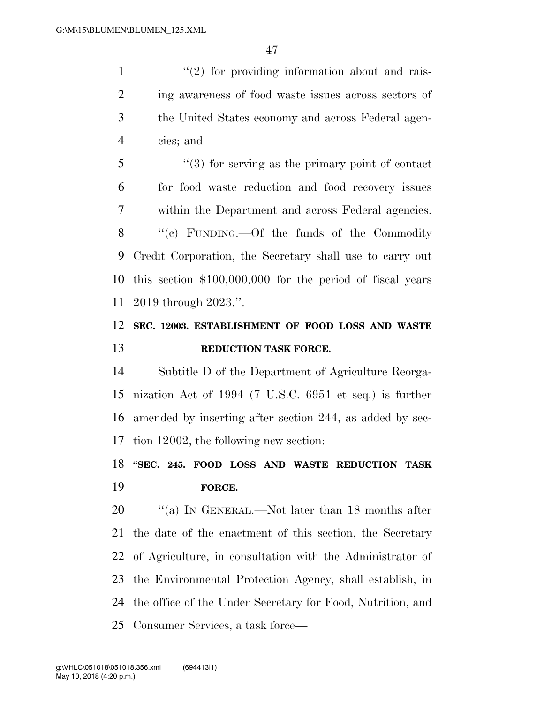$\frac{1}{2}$  ''(2) for providing information about and rais- ing awareness of food waste issues across sectors of the United States economy and across Federal agen-cies; and

 ''(3) for serving as the primary point of contact for food waste reduction and food recovery issues within the Department and across Federal agencies. ''(c) FUNDING.—Of the funds of the Commodity Credit Corporation, the Secretary shall use to carry out this section \$100,000,000 for the period of fiscal years 2019 through 2023.''.

### **SEC. 12003. ESTABLISHMENT OF FOOD LOSS AND WASTE REDUCTION TASK FORCE.**

 Subtitle D of the Department of Agriculture Reorga- nization Act of 1994 (7 U.S.C. 6951 et seq.) is further amended by inserting after section 244, as added by sec-tion 12002, the following new section:

### **''SEC. 245. FOOD LOSS AND WASTE REDUCTION TASK FORCE.**

20 "(a) In GENERAL.—Not later than 18 months after the date of the enactment of this section, the Secretary of Agriculture, in consultation with the Administrator of the Environmental Protection Agency, shall establish, in the office of the Under Secretary for Food, Nutrition, and Consumer Services, a task force—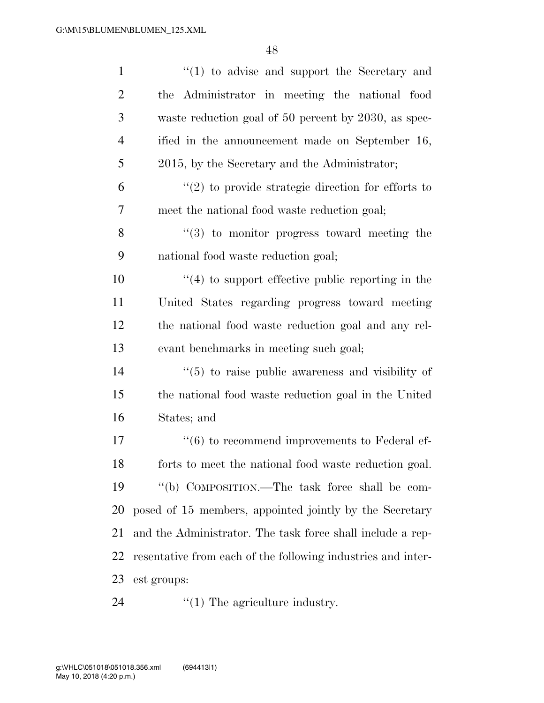| $\mathbf{1}$   | $"(1)$ to advise and support the Secretary and                 |
|----------------|----------------------------------------------------------------|
| $\overline{2}$ | the Administrator in meeting the national food                 |
| 3              | waste reduction goal of 50 percent by 2030, as spec-           |
| $\overline{4}$ | ified in the announcement made on September 16,                |
| 5              | 2015, by the Secretary and the Administrator;                  |
| 6              | $\lq(2)$ to provide strategic direction for efforts to         |
| 7              | meet the national food waste reduction goal;                   |
| 8              | $\lq(3)$ to monitor progress toward meeting the                |
| 9              | national food waste reduction goal;                            |
| 10             | $\cdot$ (4) to support effective public reporting in the       |
| 11             | United States regarding progress toward meeting                |
| 12             | the national food waste reduction goal and any rel-            |
| 13             | evant benchmarks in meeting such goal;                         |
| 14             | $\cdot\cdot$ (5) to raise public awareness and visibility of   |
| 15             | the national food waste reduction goal in the United           |
| 16             | States; and                                                    |
| 17             | $\cdot\cdot\cdot$ (6) to recommend improvements to Federal ef- |
| 18             | forts to meet the national food waste reduction goal.          |
| 19             | "(b) COMPOSITION.—The task force shall be com-                 |
| 20             | posed of 15 members, appointed jointly by the Secretary        |
| 21             | and the Administrator. The task force shall include a rep-     |
| 22             | resentative from each of the following industries and inter-   |
| 23             | est groups:                                                    |
| 24             | $\lq(1)$ The agriculture industry.                             |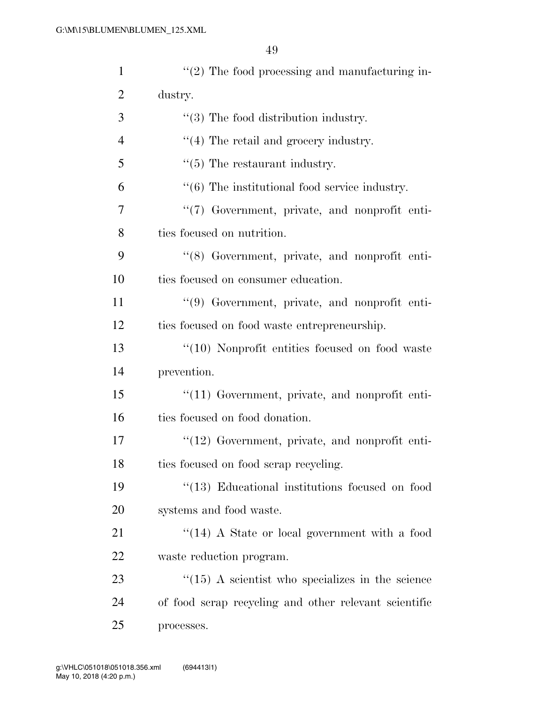| $\mathbf{1}$   | $\lq(2)$ The food processing and manufacturing in-        |
|----------------|-----------------------------------------------------------|
| $\overline{2}$ | dustry.                                                   |
| 3              | $\lq(3)$ The food distribution industry.                  |
| $\overline{4}$ | $\lq(4)$ The retail and grocery industry.                 |
| 5              | $\cdot\cdot$ (5) The restaurant industry.                 |
| 6              | $\cdot\cdot$ (6) The institutional food service industry. |
| 7              | "(7) Government, private, and nonprofit enti-             |
| 8              | ties focused on nutrition.                                |
| 9              | "(8) Government, private, and nonprofit enti-             |
| 10             | ties focused on consumer education.                       |
| 11             | "(9) Government, private, and nonprofit enti-             |
| 12             | ties focused on food waste entrepreneurship.              |
| 13             | $\lq(10)$ Nonprofit entities focused on food waste        |
| 14             | prevention.                                               |
| 15             | $\lq(11)$ Government, private, and nonprofit enti-        |
| 16             | ties focused on food donation.                            |
| 17             | $\lq(12)$ Government, private, and nonprofit enti-        |
| 18             | ties focused on food scrap recycling.                     |
| 19             | $\lq(13)$ Educational institutions focused on food        |
| 20             | systems and food waste.                                   |
| 21             | $\cdot$ (14) A State or local government with a food      |
| 22             | waste reduction program.                                  |
| 23             | $\cdot$ (15) A scientist who specializes in the science   |
| 24             | of food scrap recycling and other relevant scientific     |
| 25             | processes.                                                |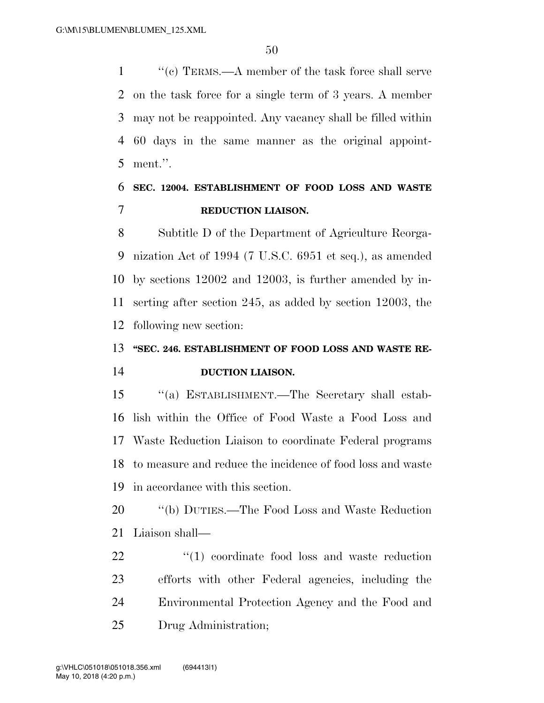1 ''(c) TERMS.—A member of the task force shall serve on the task force for a single term of 3 years. A member may not be reappointed. Any vacancy shall be filled within 60 days in the same manner as the original appoint-ment.''.

### **SEC. 12004. ESTABLISHMENT OF FOOD LOSS AND WASTE REDUCTION LIAISON.**

 Subtitle D of the Department of Agriculture Reorga- nization Act of 1994 (7 U.S.C. 6951 et seq.), as amended by sections 12002 and 12003, is further amended by in- serting after section 245, as added by section 12003, the following new section:

## **''SEC. 246. ESTABLISHMENT OF FOOD LOSS AND WASTE RE-DUCTION LIAISON.**

 ''(a) ESTABLISHMENT.—The Secretary shall estab- lish within the Office of Food Waste a Food Loss and Waste Reduction Liaison to coordinate Federal programs to measure and reduce the incidence of food loss and waste in accordance with this section.

 ''(b) DUTIES.—The Food Loss and Waste Reduction Liaison shall—

 $\frac{1}{2}$  (1) coordinate food loss and waste reduction efforts with other Federal agencies, including the Environmental Protection Agency and the Food and Drug Administration;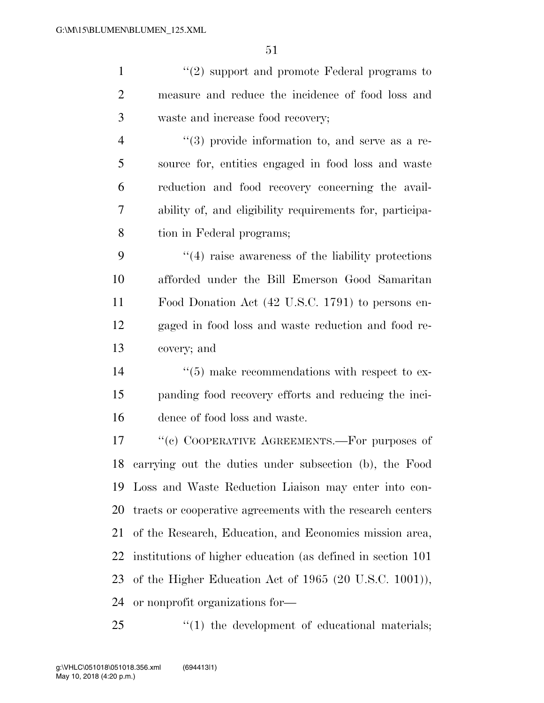| $\mathbf{1}$   | $"(2)$ support and promote Federal programs to               |
|----------------|--------------------------------------------------------------|
| $\overline{2}$ | measure and reduce the incidence of food loss and            |
| 3              | waste and increase food recovery;                            |
| $\overline{4}$ | $(3)$ provide information to, and serve as a re-             |
| 5              | source for, entities engaged in food loss and waste          |
| 6              | reduction and food recovery concerning the avail-            |
| 7              | ability of, and eligibility requirements for, participa-     |
| 8              | tion in Federal programs;                                    |
| 9              | $\cdot$ (4) raise awareness of the liability protections     |
| 10             | afforded under the Bill Emerson Good Samaritan               |
| 11             | Food Donation Act (42 U.S.C. 1791) to persons en-            |
| 12             | gaged in food loss and waste reduction and food re-          |
| 13             | covery; and                                                  |
| 14             | $\cdot\cdot$ (5) make recommendations with respect to ex-    |
| 15             | panding food recovery efforts and reducing the inci-         |
| 16             | dence of food loss and waste.                                |
| 17             | "(c) COOPERATIVE AGREEMENTS.—For purposes of                 |
| 18             | carrying out the duties under subsection (b), the Food       |
| 19             | Loss and Waste Reduction Liaison may enter into con-         |
| <b>20</b>      | tracts or cooperative agreements with the research centers   |
| 21             | of the Research, Education, and Economics mission area,      |
| 22             | institutions of higher education (as defined in section 101) |
| 23             | of the Higher Education Act of $1965$ (20 U.S.C. 1001)),     |
| 24             | or nonprofit organizations for—                              |

25  $\qquad$  ''(1) the development of educational materials;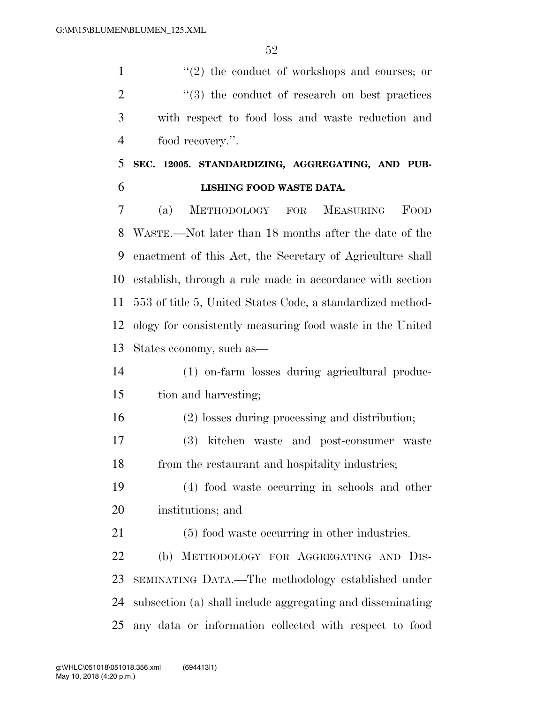1 ''(2) the conduct of workshops and courses; or 2 ''(3) the conduct of research on best practices with respect to food loss and waste reduction and food recovery.''.

### **SEC. 12005. STANDARDIZING, AGGREGATING, AND PUB-LISHING FOOD WASTE DATA.**

 (a) METHODOLOGY FOR MEASURING FOOD WASTE.—Not later than 18 months after the date of the enactment of this Act, the Secretary of Agriculture shall establish, through a rule made in accordance with section 553 of title 5, United States Code, a standardized method- ology for consistently measuring food waste in the United States economy, such as—

### (1) on-farm losses during agricultural produc-tion and harvesting;

- (2) losses during processing and distribution;
- (3) kitchen waste and post-consumer waste from the restaurant and hospitality industries;
- (4) food waste occurring in schools and other institutions; and
- (5) food waste occurring in other industries.

 (b) METHODOLOGY FOR AGGREGATING AND DIS- SEMINATING DATA.—The methodology established under subsection (a) shall include aggregating and disseminating any data or information collected with respect to food